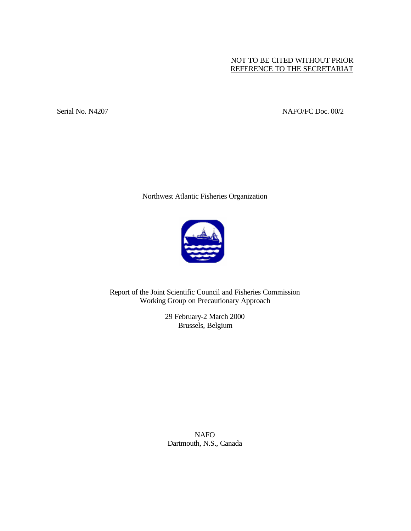# NOT TO BE CITED WITHOUT PRIOR REFERENCE TO THE SECRETARIAT

# Serial No. N4207 NAFO/FC Doc. 00/2

Northwest Atlantic Fisheries Organization



Report of the Joint Scientific Council and Fisheries Commission Working Group on Precautionary Approach

> 29 February-2 March 2000 Brussels, Belgium

NAFO Dartmouth, N.S., Canada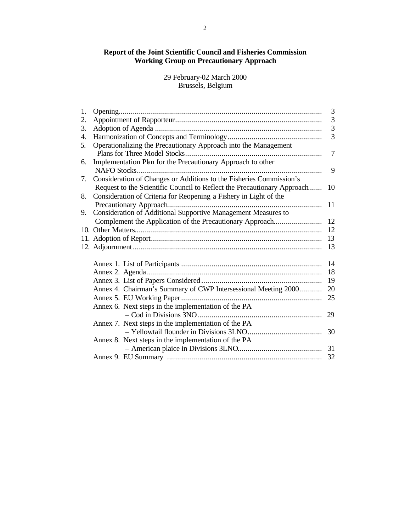# **Report of the Joint Scientific Council and Fisheries Commission Working Group on Precautionary Approach**

29 February-02 March 2000 Brussels, Belgium

| 1. |                                                                                                                                              | 3              |
|----|----------------------------------------------------------------------------------------------------------------------------------------------|----------------|
| 2. |                                                                                                                                              | $\mathfrak{Z}$ |
| 3. |                                                                                                                                              | $\overline{3}$ |
| 4. |                                                                                                                                              | $\overline{3}$ |
| 5. | Operationalizing the Precautionary Approach into the Management                                                                              | 7              |
| 6. | Implementation Plan for the Precautionary Approach to other                                                                                  |                |
|    |                                                                                                                                              | 9              |
| 7. | Consideration of Changes or Additions to the Fisheries Commission's                                                                          |                |
| 8. | Request to the Scientific Council to Reflect the Precautionary Approach<br>Consideration of Criteria for Reopening a Fishery in Light of the | 10             |
|    | Precautionary Approach                                                                                                                       | 11             |
| 9. | Consideration of Additional Supportive Management Measures to                                                                                |                |
|    | Complement the Application of the Precautionary Approach                                                                                     | 12             |
|    |                                                                                                                                              | 12             |
|    |                                                                                                                                              | 13             |
|    |                                                                                                                                              | 13             |
|    |                                                                                                                                              | 14             |
|    |                                                                                                                                              | 18             |
|    |                                                                                                                                              | 19             |
|    | Annex 4. Chairman's Summary of CWP Intersessional Meeting 2000                                                                               | 20             |
|    |                                                                                                                                              | 25             |
|    | Annex 6. Next steps in the implementation of the PA                                                                                          |                |
|    |                                                                                                                                              | 29             |
|    | Annex 7. Next steps in the implementation of the PA                                                                                          |                |
|    |                                                                                                                                              | 30             |
|    | Annex 8. Next steps in the implementation of the PA                                                                                          |                |
|    |                                                                                                                                              | 31             |
|    |                                                                                                                                              | 32             |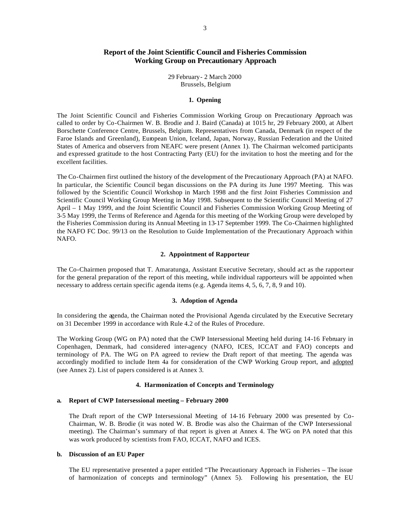# **Report of the Joint Scientific Council and Fisheries Commission Working Group on Precautionary Approach**

29 February- 2 March 2000 Brussels, Belgium

## **1. Opening**

The Joint Scientific Council and Fisheries Commission Working Group on Precautionary Approach was called to order by Co-Chairmen W. B. Brodie and J. Baird (Canada) at 1015 hr, 29 February 2000, at Albert Borschette Conference Centre, Brussels, Belgium. Representatives from Canada, Denmark (in respect of the Faroe Islands and Greenland), European Union, Iceland, Japan, Norway, Russian Federation and the United States of America and observers from NEAFC were present (Annex 1). The Chairman welcomed participants and expressed gratitude to the host Contracting Party (EU) for the invitation to host the meeting and for the excellent facilities.

The Co-Chairmen first outlined the history of the development of the Precautionary Approach (PA) at NAFO. In particular, the Scientific Council began discussions on the PA during its June 1997 Meeting. This was followed by the Scientific Council Workshop in March 1998 and the first Joint Fisheries Commission and Scientific Council Working Group Meeting in May 1998. Subsequent to the Scientific Council Meeting of 27 April – 1 May 1999, and the Joint Scientific Council and Fisheries Commission Working Group Meeting of 3-5 May 1999, the Terms of Reference and Agenda for this meeting of the Working Group were developed by the Fisheries Commission during its Annual Meeting in 13-17 September 1999. The Co-Chairmen highlighted the NAFO FC Doc. 99/13 on the Resolution to Guide Implementation of the Precautionary Approach within NAFO.

## **2. Appointment of Rapporteur**

The Co-Chairmen proposed that T. Amaratunga, Assistant Executive Secretary, should act as the rapporteur for the general preparation of the report of this meeting, while individual rapporteurs will be appointed when necessary to address certain specific agenda items (e.g. Agenda items 4, 5, 6, 7, 8, 9 and 10).

#### **3. Adoption of Agenda**

In considering the agenda, the Chairman noted the Provisional Agenda circulated by the Executive Secretary on 31 December 1999 in accordance with Rule 4.2 of the Rules of Procedure.

The Working Group (WG on PA) noted that the CWP Intersessional Meeting held during 14-16 February in Copenhagen, Denmark, had considered inter-agency (NAFO, ICES, ICCAT and FAO) concepts and terminology of PA. The WG on PA agreed to review the Draft report of that meeting. The agenda was accordingly modified to include Item 4a for consideration of the CWP Working Group report, and adopted (see Annex 2). List of papers considered is at Annex 3.

### **4. Harmonization of Concepts and Terminology**

#### **a. Report of CWP Intersessional meeting – February 2000**

The Draft report of the CWP Intersessional Meeting of 14-16 February 2000 was presented by Co-Chairman, W. B. Brodie (it was noted W. B. Brodie was also the Chairman of the CWP Intersessional meeting). The Chairman's summary of that report is given at Annex 4. The WG on PA noted that this was work produced by scientists from FAO, ICCAT, NAFO and ICES.

#### **b. Discussion of an EU Paper**

The EU representative presented a paper entitled "The Precautionary Approach in Fisheries – The issue of harmonization of concepts and terminology" (Annex 5). Following his presentation, the EU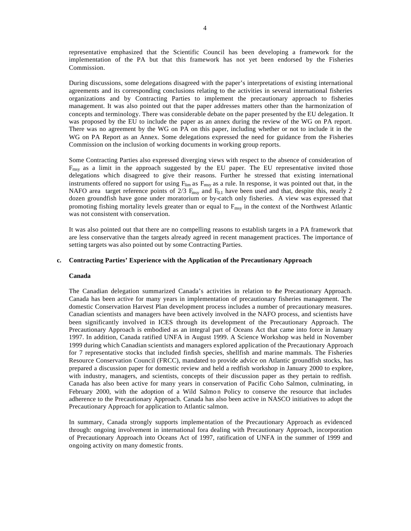representative emphasized that the Scientific Council has been developing a framework for the implementation of the PA but that this framework has not yet been endorsed by the Fisheries Commission.

During discussions, some delegations disagreed with the paper's interpretations of existing international agreements and its corresponding conclusions relating to the activities in several international fisheries organizations and by Contracting Parties to implement the precautionary approach to fisheries management. It was also pointed out that the paper addresses matters other than the harmonization of concepts and terminology. There was considerable debate on the paper presented by the EU delegation. It was proposed by the EU to include the paper as an annex during the review of the WG on PA report. There was no agreement by the WG on PA on this paper, including whether or not to include it in the WG on PA Report as an Annex. Some delegations expressed the need for guidance from the Fisheries Commission on the inclusion of working documents in working group reports.

Some Contracting Parties also expressed diverging views with respect to the absence of consideration of  $F_{\text{msy}}$  as a limit in the approach suggested by the EU paper. The EU representative invited those delegations which disagreed to give their reasons. Further he stressed that existing international instruments offered no support for using  $F_{lim}$  as  $F_{msv}$  as a rule. In response, it was pointed out that, in the NAFO area target reference points of  $2/3$   $F_{\text{msy}}$  and  $F_{0.1}$  have been used and that, despite this, nearly 2 dozen groundfish have gone under moratorium or by-catch only fisheries. A view was expressed that promoting fishing mortality levels greater than or equal to  $F_{\text{msy}}$  in the context of the Northwest Atlantic was not consistent with conservation.

It was also pointed out that there are no compelling reasons to establish targets in a PA framework that are less conservative than the targets already agreed in recent management practices. The importance of setting targets was also pointed out by some Contracting Parties.

#### **c. Contracting Parties' Experience with the Application of the Precautionary Approach**

#### **Canada**

The Canadian delegation summarized Canada's activities in relation to the Precautionary Approach. Canada has been active for many years in implementation of precautionary fisheries management. The domestic Conservation Harvest Plan development process includes a number of precautionary measures. Canadian scientists and managers have been actively involved in the NAFO process, and scientists have been significantly involved in ICES through its development of the Precautionary Approach. The Precautionary Approach is embodied as an integral part of Oceans Act that came into force in January 1997. In addition, Canada ratified UNFA in August 1999. A Science Workshop was held in November 1999 during which Canadian scientists and managers explored application of the Precautionary Approach for 7 representative stocks that included finfish species, shellfish and marine mammals. The Fisheries Resource Conservation Council (FRCC), mandated to provide advice on Atlantic groundfish stocks, has prepared a discussion paper for domestic review and held a redfish workshop in January 2000 to explore, with industry, managers, and scientists, concepts of their discussion paper as they pertain to redfish. Canada has also been active for many years in conservation of Pacific Coho Salmon, culminating, in February 2000, with the adoption of a Wild Salmon Policy to conserve the resource that includes adherence to the Precautionary Approach. Canada has also been active in NASCO initiatives to adopt the Precautionary Approach for application to Atlantic salmon.

In summary, Canada strongly supports implementation of the Precautionary Approach as evidenced through: ongoing involvement in international fora dealing with Precautionary Approach, incorporation of Precautionary Approach into Oceans Act of 1997, ratification of UNFA in the summer of 1999 and ongoing activity on many domestic fronts.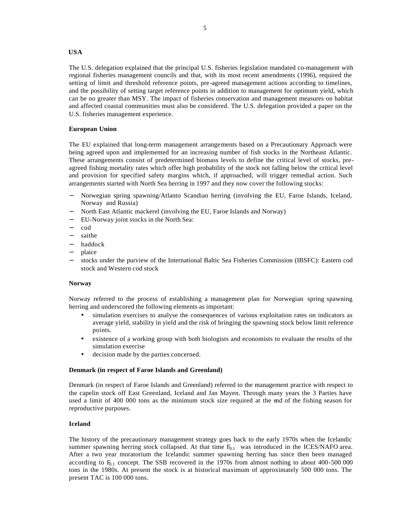## **USA**

The U.S. delegation explained that the principal U.S. fisheries legislation mandated co-management with regional fisheries management councils and that, with its most recent amendments (1996), required the setting of limit and threshold reference points, pre-agreed management actions according to timelines, and the possibility of setting target reference points in addition to management for optimum yield, which can be no greater than MSY. The impact of fisheries conservation and management measures on habitat and affected coastal communities must also be considered. The U.S. delegation provided a paper on the U.S. fisheries management experience.

## **European Union**

The EU explained that long-term management arrangements based on a Precautionary Approach were being agreed upon and implemented for an increasing number of fish stocks in the Northeast Atlantic. These arrangements consist of predetermined biomass levels to define the critical level of stocks, preagreed fishing mortality rates which offer high probability of the stock not falling below the critical level and provision for specified safety margins which, if approached, will trigger remedial action. Such arrangements started with North Sea herring in 1997 and they now cover the following stocks:

- − Norwegian spring spawning/Atlanto Scandian herring (involving the EU, Faroe Islands, Iceland, Norway and Russia)
- − North East Atlantic mackerel (involving the EU, Faroe Islands and Norway)
- − EU-Norway joint stocks in the North Sea:
- − cod
- saithe
- − haddock
- − plaice
- stocks under the purview of the International Baltic Sea Fisheries Commission (IBSFC): Eastern cod stock and Western cod stock

## **Norway**

Norway referred to the process of establishing a management plan for Norwegian spring spawning herring and underscored the following elements as important:

- simulation exercises to analyse the consequences of various exploitation rates on indicators as average yield, stability in yield and the risk of bringing the spawning stock below limit reference points.
- existence of a working group with both biologists and economists to evaluate the results of the simulation exercise
- decision made by the parties concerned.

## **Denmark (in respect of Faroe Islands and Greenland)**

Denmark (in respect of Faroe Islands and Greenland) referred to the management practice with respect to the capelin stock off East Greenland, Iceland and Jan Mayen. Through many years the 3 Parties have used a limit of 400 000 tons as the minimum stock size required at the end of the fishing season for reproductive purposes.

## **Iceland**

The history of the precautionary management strategy goes back to the early 1970s when the Icelandic summer spawning herring stock collapsed. At that time  $F_{0.1}$  was introduced in the ICES/NAFO area. After a two year moratorium the Icelandic summer spawning herring has since then been managed according to  $F_{0.1}$  concept. The SSB recovered in the 1970s from almost nothing to about 400-500 000 tons in the 1980s. At present the stock is at historical maximum of approximately 500 000 tons. The present TAC is 100 000 tons.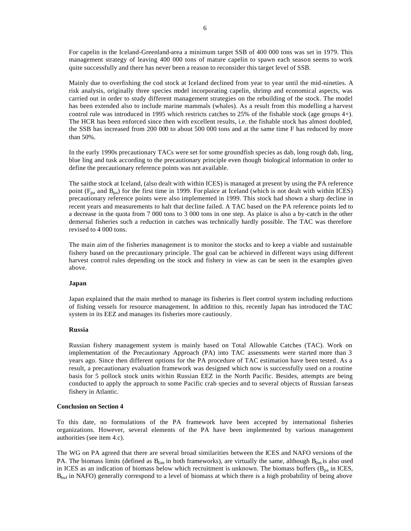For capelin in the Iceland-Greenland-area a minimum target SSB of 400 000 tons was set in 1979. This management strategy of leaving 400 000 tons of mature capelin to spawn each season seems to work quite successfully and there has never been a reason to reconsider this target level of SSB.

Mainly due to overfishing the cod stock at Iceland declined from year to year until the mid-nineties. A risk analysis, originally three species model incorporating capelin, shrimp and economical aspects, was carried out in order to study different management strategies on the rebuilding of the stock. The model has been extended also to include marine mammals (whales). As a result from this modelling a harvest control rule was introduced in 1995 which restricts catches to 25% of the fishable stock (age groups 4+). The HCR has been enforced since then with excellent results, i.e. the fishable stock has almost doubled, the SSB has increased from 200 000 to about 500 000 tons and at the same time F has reduced by more than 50%.

In the early 1990s precautionary TACs were set for some groundfish species as dab, long rough dab, ling, blue ling and tusk according to the precautionary principle even though biological information in order to define the precautionary reference points was not available.

The saithe stock at Iceland, (also dealt with within ICES) is managed at present by using the PA reference point ( $F_{pa}$  and  $B_{pa}$ ) for the first time in 1999. For plaice at Iceland (which is not dealt with within ICES) precautionary reference points were also implemented in 1999. This stock had shown a sharp decline in recent years and measurements to halt that decline failed. A TAC based on the PA reference points led to a decrease in the quota from 7 000 tons to 3 000 tons in one step. As plaice is also a by-catch in the other demersal fisheries such a reduction in catches was technically hardly possible. The TAC was therefore revised to 4 000 tons.

The main aim of the fisheries management is to monitor the stocks and to keep a viable and sustainable fishery based on the precautionary principle. The goal can be achieved in different ways using different harvest control rules depending on the stock and fishery in view as can be seen in the examples given above.

## **Japan**

Japan explained that the main method to manage its fisheries is fleet control system including reductions of fishing vessels for resource management. In addition to this, recently Japan has introduced the TAC system in its EEZ and manages its fisheries more cautiously.

#### **Russia**

Russian fishery management system is mainly based on Total Allowable Catches (TAC). Work on implementation of the Precautionary Approach (PA) into TAC assessments were started more than 3 years ago. Since then different options for the PA procedure of TAC estimation have been tested. As a result, a precautionary evaluation framework was designed which now is successfully used on a routine basis for 5 pollock stock units within Russian EEZ in the North Pacific. Besides, attempts are being conducted to apply the approach to some Pacific crab species and to several objects of Russian far-seas fishery in Atlantic.

#### **Conclusion on Section 4**

To this date, no formulations of the PA framework have been accepted by international fisheries organizations. However, several elements of the PA have been implemented by various management authorities (see item 4.c).

The WG on PA agreed that there are several broad similarities between the ICES and NAFO versions of the PA. The biomass limits (defined as  $B_{lim}$  in both frameworks), are virtually the same, although  $B_{lim}$  is also used in ICES as an indication of biomass below which recruitment is unknown. The biomass buffers ( $B_{pa}$  in ICES,  $B_{\text{buf}}$  in NAFO) generally correspond to a level of biomass at which there is a high probability of being above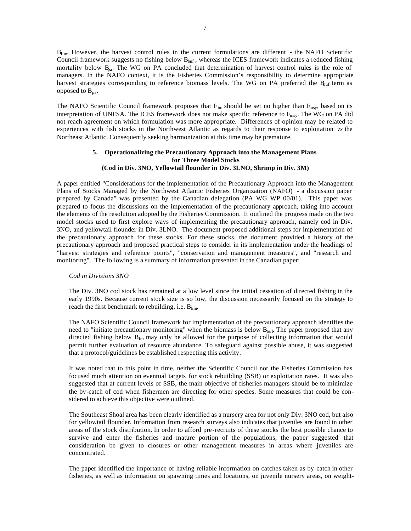Blim. However, the harvest control rules in the current formulations are different - the NAFO Scientific Council framework suggests no fishing below  $B_{\text{buf}}$ , whereas the ICES framework indicates a reduced fishing mortality below  $B_{pa}$ . The WG on PA concluded that determination of harvest control rules is the role of managers. In the NAFO context, it is the Fisheries Commission's responsibility to determine appropriate harvest strategies corresponding to reference biomass levels. The WG on PA preferred the  $B<sub>buf</sub>$  term as opposed to  $B_{pa}$ .

The NAFO Scientific Council framework proposes that  $F_{lim}$  should be set no higher than  $F_{msv}$ , based on its interpretation of UNFSA. The ICES framework does not make specific reference to F<sub>msy</sub>. The WG on PA did not reach agreement on which formulation was more appropriate. Differences of opinion may be related to experiences with fish stocks in the Northwest Atlantic as regards to their response to exploitation *vs* the Northeast Atlantic. Consequently seeking harmonization at this time may be premature.

## **5. Operationalizing the Precautionary Approach into the Management Plans for Three Model Stocks (Cod in Div. 3NO, Yellowtail flounder in Div. 3LNO, Shrimp in Div. 3M)**

A paper entitled "Considerations for the implementation of the Precautionary Approach into the Management Plans of Stocks Managed by the Northwest Atlantic Fisheries Organization (NAFO) - a discussion paper prepared by Canada" was presented by the Canadian delegation (PA WG WP 00/01). This paper was prepared to focus the discussions on the implementation of the precautionary approach, taking into account the elements of the resolution adopted by the Fisheries Commission. It outlined the progress made on the two model stocks used to first explore ways of implementing the precautionary approach, namely cod in Div. 3NO, and yellowtail flounder in Div. 3LNO. The document proposed additional steps for implementation of the precautionary approach for these stocks. For these stocks, the document provided a history of the precautionary approach and proposed practical steps to consider in its implementation under the headings of "harvest strategies and reference points", "conservation and management measures", and "research and monitoring". The following is a summary of information presented in the Canadian paper:

#### *Cod in Divisions 3NO*

The Div. 3NO cod stock has remained at a low level since the initial cessation of directed fishing in the early 1990s. Because current stock size is so low, the discussion necessarily focused on the strategy to reach the first benchmark to rebuilding, i.e. Blim-

The NAFO Scientific Council framework for implementation of the precautionary approach identifies the need to "initiate precautionary monitoring" when the biomass is below  $B_{\text{buf}}$ . The paper proposed that any directed fishing below  $B_{\text{im}}$  may only be allowed for the purpose of collecting information that would permit further evaluation of resource abundance. To safeguard against possible abuse, it was suggested that a protocol/guidelines be established respecting this activity.

It was noted that to this point in time, neither the Scientific Council nor the Fisheries Commission has focused much attention on eventual targets for stock rebuilding (SSB) or exploitation rates. It was also suggested that at current levels of SSB, the main objective of fisheries managers should be to minimize the by-catch of cod when fishermen are directing for other species. Some measures that could be considered to achieve this objective were outlined.

The Southeast Shoal area has been clearly identified as a nursery area for not only Div. 3NO cod, but also for yellowtail flounder. Information from research surveys also indicates that juveniles are found in other areas of the stock distribution. In order to afford pre-recruits of these stocks the best possible chance to survive and enter the fisheries and mature portion of the populations, the paper suggested that consideration be given to closures or other management measures in areas where juveniles are concentrated.

The paper identified the importance of having reliable information on catches taken as by-catch in other fisheries, as well as information on spawning times and locations, on juvenile nursery areas, on weight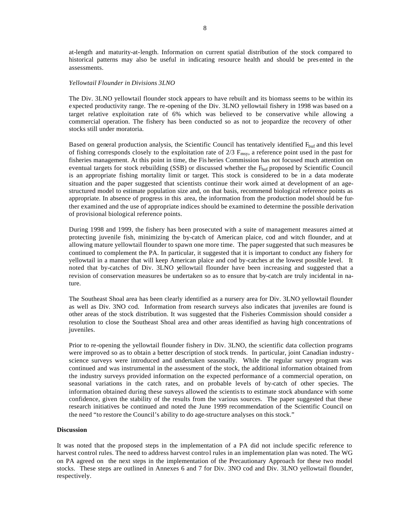at-length and maturity-at-length. Information on current spatial distribution of the stock compared to historical patterns may also be useful in indicating resource health and should be pres ented in the assessments.

#### *Yellowtail Flounder in Divisions 3LNO*

The Div. 3LNO yellowtail flounder stock appears to have rebuilt and its biomass seems to be within its expected productivity range. The re-opening of the Div. 3LNO yellowtail fishery in 1998 was based on a target relative exploitation rate of 6% which was believed to be conservative while allowing a commercial operation. The fishery has been conducted so as not to jeopardize the recovery of other stocks still under moratoria.

Based on general production analysis, the Scientific Council has tentatively identified F<sub>buf</sub> and this level of fishing corresponds closely to the exploitation rate of  $2/3$   $F_{\text{msy}}$ , a reference point used in the past for fisheries management. At this point in time, the Fis heries Commission has not focused much attention on eventual targets for stock rebuilding (SSB) or discussed whether the  $F<sub>buf</sub>$  proposed by Scientific Council is an appropriate fishing mortality limit or target. This stock is considered to be in a data moderate situation and the paper suggested that scientists continue their work aimed at development of an agestructured model to estimate population size and, on that basis, recommend biological reference points as appropriate. In absence of progress in this area, the information from the production model should be further examined and the use of appropriate indices should be examined to determine the possible derivation of provisional biological reference points.

During 1998 and 1999, the fishery has been prosecuted with a suite of management measures aimed at protecting juvenile fish, minimizing the by-catch of American plaice, cod and witch flounder, and at allowing mature yellowtail flounder to spawn one more time. The paper suggested that such measures be continued to complement the PA. In particular, it suggested that it is important to conduct any fishery for yellowtail in a manner that will keep American plaice and cod by-catches at the lowest possible level. It noted that by-catches of Div. 3LNO yellowtail flounder have been increasing and suggested that a revision of conservation measures be undertaken so as to ensure that by-catch are truly incidental in nature.

The Southeast Shoal area has been clearly identified as a nursery area for Div. 3LNO yellowtail flounder as well as Div. 3NO cod. Information from research surveys also indicates that juveniles are found is other areas of the stock distribution. It was suggested that the Fisheries Commission should consider a resolution to close the Southeast Shoal area and other areas identified as having high concentrations of juveniles.

Prior to re-opening the yellowtail flounder fishery in Div. 3LNO, the scientific data collection programs were improved so as to obtain a better description of stock trends. In particular, joint Canadian industryscience surveys were introduced and undertaken seasonally. While the regular survey program was continued and was instrumental in the assessment of the stock, the additional information obtained from the industry surveys provided information on the expected performance of a commercial operation, on seasonal variations in the catch rates, and on probable levels of by-catch of other species. The information obtained during these surveys allowed the scientists to estimate stock abundance with some confidence, given the stability of the results from the various sources. The paper suggested that these research initiatives be continued and noted the June 1999 recommendation of the Scientific Council on the need "to restore the Council's ability to do age-structure analyses on this stock."

#### **Discussion**

It was noted that the proposed steps in the implementation of a PA did not include specific reference to harvest control rules. The need to address harvest control rules in an implementation plan was noted. The WG on PA agreed on the next steps in the implementation of the Precautionary Approach for these two model stocks. These steps are outlined in Annexes 6 and 7 for Div. 3NO cod and Div. 3LNO yellowtail flounder, respectively.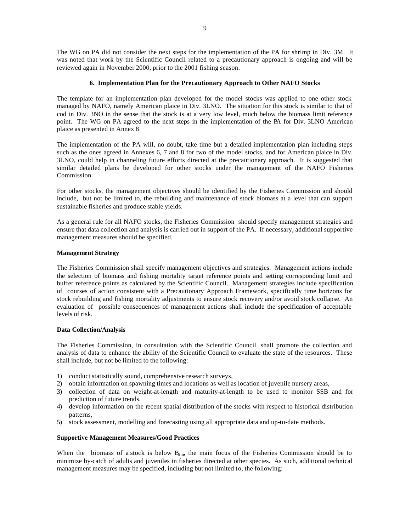The WG on PA did not consider the next steps for the implementation of the PA for shrimp in Div. 3M. It was noted that work by the Scientific Council related to a precautionary approach is ongoing and will be reviewed again in November 2000, prior to the 2001 fishing season.

## **6. Implementation Plan for the Precautionary Approach to Other NAFO Stocks**

The template for an implementation plan developed for the model stocks was applied to one other stock managed by NAFO, namely American plaice in Div. 3LNO. The situation for this stock is similar to that of cod in Div. 3NO in the sense that the stock is at a very low level, much below the biomass limit reference point. The WG on PA agreed to the next steps in the implementation of the PA for Div. 3LNO American plaice as presented in Annex 8.

The implementation of the PA will, no doubt, take time but a detailed implementation plan including steps such as the ones agreed in Annexes 6, 7 and 8 for two of the model stocks, and for American plaice in Div. 3LNO, could help in channeling future efforts directed at the precautionary approach. It is suggested that similar detailed plans be developed for other stocks under the management of the NAFO Fisheries Commission.

For other stocks, the management objectives should be identified by the Fisheries Commission and should include, but not be limited to, the rebuilding and maintenance of stock biomass at a level that can support sustainable fisheries and produce stable yields.

As a general rule for all NAFO stocks, the Fisheries Commission should specify management strategies and ensure that data collection and analysis is carried out in support of the PA. If necessary, additional supportive management measures should be specified.

## **Management Strategy**

The Fisheries Commission shall specify management objectives and strategies. Management actions include the selection of biomass and fishing mortality target reference points and setting corresponding limit and buffer reference points as calculated by the Scientific Council. Management strategies include specification of courses of action consistent with a Precautionary Approach Framework, specifically time horizons for stock rebuilding and fishing mortality adjustments to ensure stock recovery and/or avoid stock collapse. An evaluation of possible consequences of management actions shall include the specification of acceptable levels of risk.

## **Data Collection/Analysis**

The Fisheries Commission, in consultation with the Scientific Council shall promote the collection and analysis of data to enhance the ability of the Scientific Council to evaluate the state of the resources. These shall include, but not be limited to the following:

- 1) conduct statistically sound, comprehensive research surveys,
- 2) obtain information on spawning times and locations as well as location of juvenile nursery areas,
- 3) collection of data on weight-at-length and maturity-at-length to be used to monitor SSB and for prediction of future trends,
- 4) develop information on the recent spatial distribution of the stocks with respect to historical distribution patterns,
- 5) stock assessment, modelling and forecasting using all appropriate data and up-to-date methods.

## **Supportive Management Measures/Good Practices**

When the biomass of a stock is below  $B_{\text{im}}$ , the main focus of the Fisheries Commission should be to minimize by-catch of adults and juveniles in fisheries directed at other species. As such, additional technical management measures may be specified, including but not limited to, the following: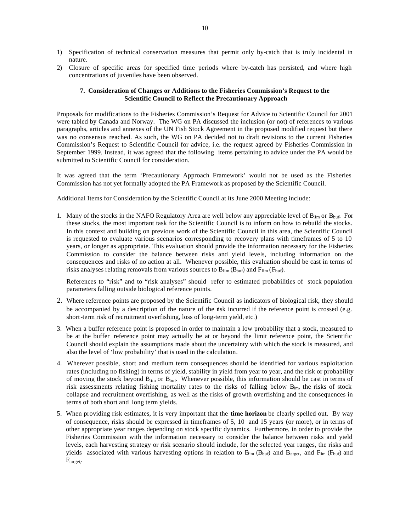- 1) Specification of technical conservation measures that permit only by-catch that is truly incidental in nature.
- 2) Closure of specific areas for specified time periods where by-catch has persisted, and where high concentrations of juveniles have been observed.

## **7. Consideration of Changes or Additions to the Fisheries Commission's Request to the Scientific Council to Reflect the Precautionary Approach**

Proposals for modifications to the Fisheries Commission's Request for Advice to Scientific Council for 2001 were tabled by Canada and Norway. The WG on PA discussed the inclusion (or not) of references to various paragraphs, articles and annexes of the UN Fish Stock Agreement in the proposed modified request but there was no consensus reached. As such, the WG on PA decided not to draft revisions to the current Fisheries Commission's Request to Scientific Council for advice, i.e. the request agreed by Fisheries Commission in September 1999. Instead, it was agreed that the following items pertaining to advice under the PA would be submitted to Scientific Council for consideration.

It was agreed that the term 'Precautionary Approach Framework' would not be used as the Fisheries Commission has not yet formally adopted the PA Framework as proposed by the Scientific Council.

Additional Items for Consideration by the Scientific Council at its June 2000 Meeting include:

1. Many of the stocks in the NAFO Regulatory Area are well below any appreciable level of  $B_{\text{lim}}$  or  $B_{\text{buf}}$ . For these stocks, the most important task for the Scientific Council is to inform on how to rebuild the stocks. In this context and building on previous work of the Scientific Council in this area, the Scientific Council is requested to evaluate various scenarios corresponding to recovery plans with timeframes of 5 to 10 years, or longer as appropriate. This evaluation should provide the information necessary for the Fisheries Commission to consider the balance between risks and yield levels, including information on the consequences and risks of no action at all. Whenever possible, this evaluation should be cast in terms of risks analyses relating removals from various sources to  $B_{\text{lim}}(B_{\text{buf}})$  and  $F_{\text{lim}}(F_{\text{buf}})$ .

References to "risk" and to "risk analyses" should refer to estimated probabilities of stock population parameters falling outside biological reference points.

- 2. Where reference points are proposed by the Scientific Council as indicators of biological risk, they should be accompanied by a description of the nature of the risk incurred if the reference point is crossed (e.g. short-term risk of recruitment overfishing, loss of long-term yield, etc.)
- 3. When a buffer reference point is proposed in order to maintain a low probability that a stock, measured to be at the buffer reference point may actually be at or beyond the limit reference point, the Scientific Council should explain the assumptions made about the uncertainty with which the stock is measured, and also the level of 'low probability' that is used in the calculation.
- 4. Wherever possible, short and medium term consequences should be identified for various exploitation rates (including no fishing) in terms of yield, stability in yield from year to year, and the risk or probability of moving the stock beyond  $B_{\text{lim}}$  or  $B_{\text{buf}}$ . Whenever possible, this information should be cast in terms of risk assessments relating fishing mortality rates to the risks of falling below  $B_{\text{im}}$ , the risks of stock collapse and recruitment overfishing, as well as the risks of growth overfishing and the consequences in terms of both short and long term yields.
- 5. When providing risk estimates, it is very important that the **time horizon** be clearly spelled out. By way of consequence, risks should be expressed in timeframes of 5, 10 and 15 years (or more), or in terms of other appropriate year ranges depending on stock specific dynamics. Furthermore, in order to provide the Fisheries Commission with the information necessary to consider the balance between risks and yield levels, each harvesting strategy or risk scenario should include, for the selected year ranges, the risks and yields associated with various harvesting options in relation to  $B_{lim}$  ( $B_{buf}$ ) and  $B_{target}$ , and  $F_{lim}$  ( $F_{buf}$ ) and  $F_{target,}.$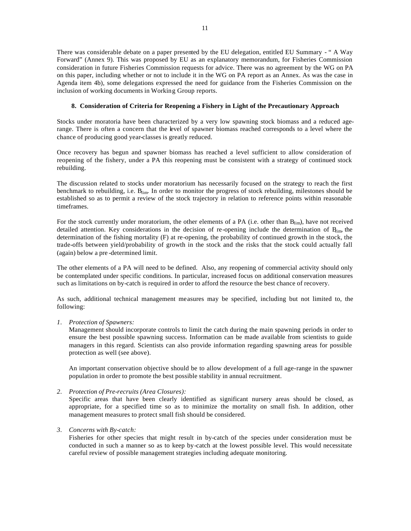There was considerable debate on a paper presented by the EU delegation, entitled EU Summary - " A Way Forward" (Annex 9). This was proposed by EU as an explanatory memorandum, for Fisheries Commission consideration in future Fisheries Commission requests for advice. There was no agreement by the WG on PA on this paper, including whether or not to include it in the WG on PA report as an Annex. As was the case in Agenda item 4b), some delegations expressed the need for guidance from the Fisheries Commission on the inclusion of working documents in Working Group reports.

## **8. Consideration of Criteria for Reopening a Fishery in Light of the Precautionary Approach**

Stocks under moratoria have been characterized by a very low spawning stock biomass and a reduced agerange. There is often a concern that the level of spawner biomass reached corresponds to a level where the chance of producing good year-classes is greatly reduced.

Once recovery has begun and spawner biomass has reached a level sufficient to allow consideration of reopening of the fishery, under a PA this reopening must be consistent with a strategy of continued stock rebuilding.

The discussion related to stocks under moratorium has necessarily focused on the strategy to reach the first benchmark to rebuilding, i.e.  $B_{\text{lim}}$ . In order to monitor the progress of stock rebuilding, milestones should be established so as to permit a review of the stock trajectory in relation to reference points within reasonable timeframes.

For the stock currently under moratorium, the other elements of a PA (i.e. other than  $B_{\text{lim}}$ ), have not received detailed attention. Key considerations in the decision of re-opening include the determination of  $B_{\text{im}}$ , the determination of the fishing mortality (F) at re-opening, the probability of continued growth in the stock, the trade-offs between yield/probability of growth in the stock and the risks that the stock could actually fall (again) below a pre -determined limit.

The other elements of a PA will need to be defined. Also, any reopening of commercial activity should only be contemplated under specific conditions. In particular, increased focus on additional conservation measures such as limitations on by-catch is required in order to afford the resource the best chance of recovery.

As such, additional technical management measures may be specified, including but not limited to, the following:

*1. Protection of Spawners:*

Management should incorporate controls to limit the catch during the main spawning periods in order to ensure the best possible spawning success. Information can be made available from scientists to guide managers in this regard. Scientists can also provide information regarding spawning areas for possible protection as well (see above).

An important conservation objective should be to allow development of a full age-range in the spawner population in order to promote the best possible stability in annual recruitment.

*2. Protection of Pre-recruits (Area Closures):*

Specific areas that have been clearly identified as significant nursery areas should be closed, as appropriate, for a specified time so as to minimize the mortality on small fish. In addition, other management measures to protect small fish should be considered.

*3. Concerns with By-catch:*

Fisheries for other species that might result in by-catch of the species under consideration must be conducted in such a manner so as to keep by-catch at the lowest possible level. This would necessitate careful review of possible management strategies including adequate monitoring.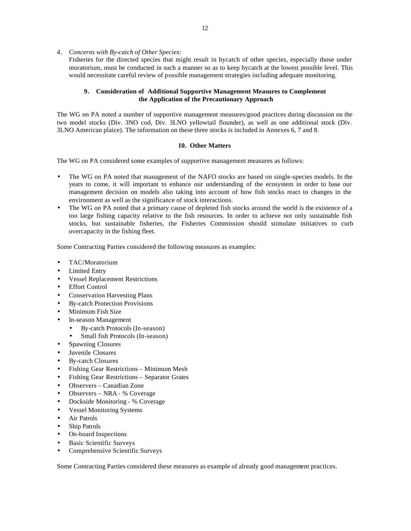*4. Concerns with By-catch of Other Species:*

Fisheries for the directed species that might result in bycatch of other species, especially those under moratorium, must be conducted in such a manner so as to keep bycatch at the lowest possible level. This would necessitate careful review of possible management strategies including adequate monitoring.

## **9. Consideration of Additional Supportive Management Measures to Complement the Application of the Precautionary Approach**

The WG on PA noted a number of supportive management measures/good practices during discussion on the two model stocks (Div. 3NO cod, Div. 3LNO yellowtail flounder), as well as one additional stock (Div. 3LNO American plaice). The information on these three stocks is included in Annexes 6, 7 and 8.

## **10. Other Matters**

The WG on PA considered some examples of supportive management measures as follows:

- The WG on PA noted that management of the NAFO stocks are based on single-species models. In the years to come, it will important to enhance our understanding of the ecosystem in order to base our management decision on models also taking into account of how fish stocks react to changes in the environment as well as the significance of stock interactions.
- The WG on PA noted that a primary cause of depleted fish stocks around the world is the existence of a too large fishing capacity relative to the fish resources. In order to achieve not only sustainable fish stocks, but sustainable fisheries, the Fisheries Commission should stimulate initiatives to curb overcapacity in the fishing fleet.

Some Contracting Parties considered the following measures as examples:

- TAC/Moratorium
- Limited Entry
- Vessel Replacement Restrictions
- **Effort Control**
- Conservation Harvesting Plans
- By-catch Protection Provisions
- Minimum Fish Size
- In-season Management
	- By-catch Protocols (In-season)
	- Small fish Protocols (In-season)
- Spawning Closures
- Juvenile Closures
- By-catch Closures
- Fishing Gear Restrictions Minimum Mesh
- Fishing Gear Restrictions Separator Grates
- Observers Canadian Zone
- Observers NRA % Coverage
- Dockside Monitoring % Coverage
- Vessel Monitoring Systems
- Air Patrols
- Ship Patrols
- On-board Inspections
- Basic Scientific Surveys
- Comprehensive Scientific Surveys

Some Contracting Parties considered these measures as example of already good management practices.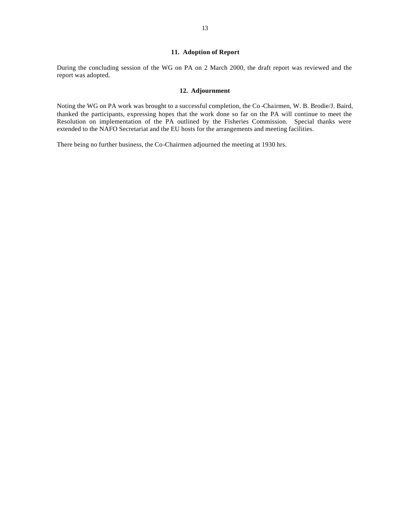#### **11. Adoption of Report**

During the concluding session of the WG on PA on 2 March 2000, the draft report was reviewed and the report was adopted.

#### **12. Adjournment**

Noting the WG on PA work was brought to a successful completion, the Co -Chairmen, W. B. Brodie/J. Baird, thanked the participants, expressing hopes that the work done so far on the PA will continue to meet the Resolution on implementation of the PA outlined by the Fisheries Commission. Special thanks were extended to the NAFO Secretariat and the EU hosts for the arrangements and meeting facilities.

There being no further business, the Co-Chairmen adjourned the meeting at 1930 hrs.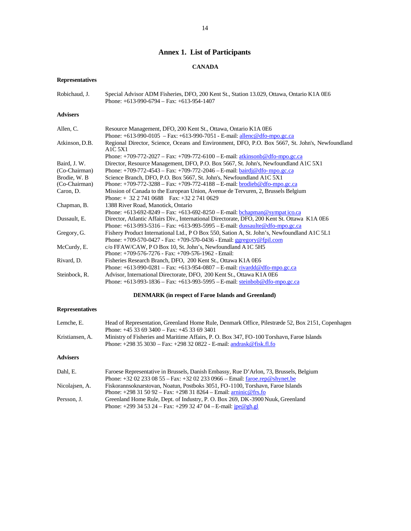# **Annex 1. List of Participants**

# **CANADA**

# **Representatives**

| Robichaud. J.   | Special Advisor ADM Fisheries, DFO, 200 Kent St., Station 13.029, Ottawa, Ontario K1A 0E6<br>Phone: $+613-990-6794$ – Fax: $+613-954-1407$       |
|-----------------|--------------------------------------------------------------------------------------------------------------------------------------------------|
| <b>Advisers</b> |                                                                                                                                                  |
| Allen, C.       | Resource Management, DFO, 200 Kent St., Ottawa, Ontario K1A 0E6                                                                                  |
|                 | Phone: $+613-990-0105$ - Fax: $+613-990-7051$ - E-mail: allenc@dfo-mpo.gc.ca                                                                     |
| Atkinson, D.B.  | Regional Director, Science, Oceans and Environment, DFO, P.O. Box 5667, St. John's, Newfoundland<br>A <sub>1</sub> C <sub>5</sub> X <sub>1</sub> |
|                 | Phone: $+709-772-2027$ – Fax: $+709-772-6100$ – E-mail: atkinsonb@dfo-mpo.gc.ca                                                                  |
| Baird. J. W.    | Director, Resource Management, DFO, P.O. Box 5667, St. John's, Newfoundland A1C 5X1                                                              |
| (Co-Chairman)   | Phone: $+709-772-4543$ – Fax: $+709-772-2046$ – E-mail: bairdj@dfo-mpo.gc.ca                                                                     |
| Brodie. W. B    | Science Branch, DFO, P.O. Box 5667, St. John's, Newfoundland A1C 5X1                                                                             |
| (Co-Chairman)   | Phone: $+709-772-3288$ – Fax: $+709-772-4188$ – E-mail: brodieb@dfo-mpo.gc.ca                                                                    |
| Caron, D.       | Mission of Canada to the European Union, Avenue de Tervuren, 2, Brussels Belgium                                                                 |
|                 | Phone: $+ 3227410688$ Fax: $+3227410629$                                                                                                         |
| Chapman, B.     | 1388 River Road, Manotick, Ontario                                                                                                               |
|                 | Phone: $+613-692-8249 - Fax: +613-692-8250 - E-mail: bchapman@sympatico.ca$                                                                      |
| Dussault, E.    | Director, Atlantic Affairs Div., International Directorate, DFO, 200 Kent St. Ottawa K1A 0E6                                                     |
|                 | Phone: +613-993-5316 - Fax: +613-993-5995 - E-mail: dussaulte@dfo-mpo.gc.ca                                                                      |
| Gregory, G.     | Fishery Product International Ltd., P O Box 550, Sation A, St. John's, Newfoundland A1C 5L1                                                      |
|                 | Phone: +709-570-0427 - Fax: +709-570-0436 - Email: ggregory@fpil.com                                                                             |
| McCurdy, E.     | $c$ /o FFAW/CAW, PO Box 10, St. John's, Newfoundland A1C 5H5                                                                                     |
|                 | Phone: $+709-576-7276$ - Fax: $+709-576-1962$ - Email:                                                                                           |
| Rivard, D.      | Fisheries Research Branch, DFO, 200 Kent St., Ottawa K1A 0E6                                                                                     |
|                 | Phone: $+613-990-0281$ – Fax: $+613-954-0807$ – E-mail: rivardd@dfo-mpo.gc.ca                                                                    |
| Steinbock, R.   | Advisor, International Directorate, DFO, 200 Kent St., Ottawa K1A 0E6                                                                            |
|                 | Phone: $+613-993-1836$ – Fax: $+613-993-5995$ – E-mail: steinbob@dfo-mpo.gc.ca                                                                   |

# **DENMARK (in respect of Faroe Islands and Greenland)**

# **Representatives**

| Lemche, E.      | Head of Representation, Greenland Home Rule, Denmark Office, Pilestræde 52, Box 2151, Copenhagen |
|-----------------|--------------------------------------------------------------------------------------------------|
|                 | Phone: $+4533693400 - Fax$ : $+4533693401$                                                       |
| Kristiansen, A. | Ministry of Fisheries and Maritime Affairs, P. O. Box 347, FO-100 Torshavn, Faroe Islands        |
|                 | Phone: $+298353030 - Fax$ : $+298320822 - E$ -mail: andrask@fisk.fl.fo                           |
| <b>Advisers</b> |                                                                                                  |
| Dahl. E.        | Faroese Representative in Brussels, Danish Embassy, Rue D'Arlon, 73, Brussels, Belgium           |
|                 | Phone: $+32022330855 - Fax: +32022330966 - Email:$ faroe.rep@shynet.be                           |
| Nicolaisen, A.  | Fiskorannsoknarstovan, Noatun, Postboks 3051, FO-1100, Torshavn, Faroe Islands                   |

|             | Phone: $+298315092 - Fax$ : $+298318264 - Email$ : $\frac{\text{anninic}\,\textcircled{e}}{\text{frs}.\text{fo}}$ |
|-------------|-------------------------------------------------------------------------------------------------------------------|
| Persson, J. | Greenland Home Rule, Dept. of Industry, P. O. Box 269, DK-3900 Nuuk, Greenland                                    |
|             | Phone: $+299345324 - Fax$ : $+299324704 - E$ -mail: $\frac{1}{10}e@gh.gl$                                         |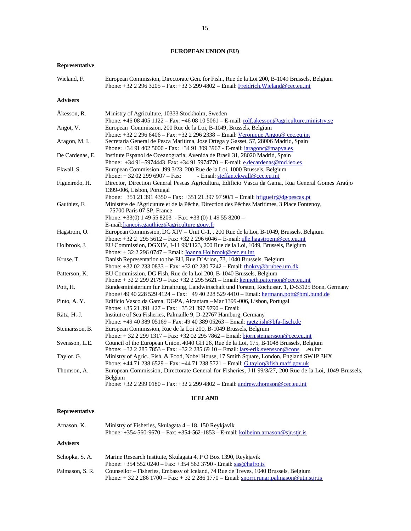# **EUROPEAN UNION (EU)**

# **Representative**

| Wieland, F.     | European Commission, Directorate Gen. for Fish., Rue de la Loi 200, B-1049 Brussels, Belgium<br>Phone: $+32$ 2 296 3205 – Fax: $+32$ 3 299 4802 – Email: Freidrich. Wieland @cec.eu.int |
|-----------------|-----------------------------------------------------------------------------------------------------------------------------------------------------------------------------------------|
| <b>Advisers</b> |                                                                                                                                                                                         |
| Åkesson. R.     | Ministry of Agriculture, 10333 Stockholm, Sweden                                                                                                                                        |
|                 | Phone: $+46.08.405.1122 - Fax: +46.08.10.5061 - E-mail:$ rolf.akesson@agriculture.ministry.se                                                                                           |
| Angot, V.       | European Commission, 200 Rue de la Loi, B-1049, Brussels, Belgium                                                                                                                       |

| Angot, V.       | European Commission, 200 Rue de la Loi, B-1049, Brussels, Belgium                                       |
|-----------------|---------------------------------------------------------------------------------------------------------|
|                 | Phone: $+32$ 2 296 6406 – Fax: $+32$ 2 296 2338 – Email: Veronique.Angot@ cec.eu.int                    |
| Aragon, M.I.    | Secretaria General de Pesca Maritima, Jose Ortega y Gasset, 57, 28006 Madrid, Spain                     |
|                 | Phone: +34 91 402 5000 - Fax: +34 91 309 3967 - E-mail: <i>jaragonc@mapya.es</i>                        |
| De Cardenas, E. | Institute Espanol de Oceanografia, Avenida de Brasil 31, 28020 Madrid, Spain                            |
|                 | Phone: +34 91-5974443 Fax: +34 91 5974770 - E-mail: e.decardenas@md.ieo.es                              |
| Ekwall, S.      | European Commission, J99 3/23, 200 Rue de la Loi, 1000 Brussels, Belgium                                |
|                 | Phone: $+32022996907 - Fax$ :<br>- Email: steffan.ekwall@cec.eu.int                                     |
| Figueiredo, H.  | Director, Direction General Pescas Agricultura, Edificio Vasca da Gama, Rua General Gomes Araújo        |
|                 | 1399-006, Lisbon, Portugal                                                                              |
|                 | Phone: +351 21 391 4350 - Fax: +351 21 397 97 90/1 - Email: hfigueir@dg-pescas.pt                       |
| Gauthiez, F.    | Ministère de l'Ágricuture et de la Pêche, Direction des Pêches Maritimes, 3 Place Fontenoy,             |
|                 | 75700 Paris 07 SP, France                                                                               |
|                 | Phone: $+33(0)$ 1 49 55 8203 - Fax: $+33(0)$ 1 49 55 8200 -                                             |
|                 | E-mail: francois.gauthiez@agriculture.gouv.fr                                                           |
| Hagstrom, O.    | European Commission, DG XIV - Unit C-1, , 200 Rue de la Loi, B-1049, Brussels, Belgium                  |
|                 | Phone: $+32$ 2 295 5612 - Fax: $+32$ 2 296 6046 - E-mail: ulle.hagstroem@cec.eu.int                     |
| Holbrook, J.    | EU Commission, DGXIV, J-11 99/1123, 200 Rue de la Loi, 1049, Brussels, Belgium                          |
|                 | Phone: $+3222960747$ – Email: Joanna. Holbrook @cec.eu.int                                              |
| Kruse, T.       | Danish Representation to the EU, Rue D'Arlon, 73, 1040 Brussels, Belgium                                |
|                 | Phone: $+32022330833 - Fax$ : $+32022307242 - Email$ : thokry@brubee.um.dk                              |
| Patterson, K.   | EU Commission, DG Fish, Rue de la Loi 200, B-1040 Brussels, Belgium                                     |
|                 | Phone: $+3222992179 - Fax: +3222955621 - Email: kenneth.patterson@cec.eu.int$                           |
| Pott, H.        | Bundesministerium fur Ernahrung, Landwirtschaft und Forsten, Rochusstr. 1, D-53125 Bonn, Germany        |
|                 | Phone+49 40 228 529 4124 - Fax: +49 40 228 529 4410 - Email: hermann.pott@bml.bund.de                   |
| Pinto, A.Y.     | Edificio Vasco da Gama, DGPA, Alcantara – Mar 1399-006, Lisbon, Portugal                                |
|                 | Phone: +35 21 391 427 – Fax: +35 21 397 9790 – Email:                                                   |
| Rätz, H.-J.     | Institute of Sea Fisheries, Palmaille 9, D-22767 Hamburg, Germany                                       |
|                 | Phone: +49 40 389 05169 - Fax: 49 40 389 05263 - Email: raetz.ish@bfa-fisch.de                          |
| Steinarsson, B. | European Commission, Rue de la Loi 200, B-1049 Brussels, Belgium                                        |
|                 | Phone: +32 2 299 1317 – Fax: +32 02 295 7862 – Email: bjorn.steinarsson@cec.eu.int                      |
| Svensson, L.E.  | Council of the European Union, 4040 GH 26, Rue de la Loi, 175, B-1048 Brussels, Belgium                 |
|                 | Phone: $+32$ 2 285 7853 – Fax: $+32$ 2 285 69 10 – Email: $\frac{1}{2}$ ars-erik.svensson@cons eu.int   |
| Taylor, G.      | Ministry of Agric., Fish. & Food, Nobel House, 17 Smith Square, London, England SW1P 3HX                |
|                 | Phone: $+44$ 71 238 6529 – Fax: $+44$ 71 238 5721 – Email: G.taylor@fish.maff.gov.uk                    |
| Thomson, A.     | European Commission, Directorate General for Fisheries, J-II 99/3/27, 200 Rue de la Loi, 1049 Brussels, |
|                 | Belgium                                                                                                 |
|                 | Phone: +32 2 299 0180 - Fax: +32 2 299 4802 - Email: andrew.thomson@cec.eu.int                          |
|                 |                                                                                                         |

# **ICELAND**

# **Representative**

| Arnason, K.     | Ministry of Fisheries, Skulagata $4 - 18$ , 150 Reykjavik<br>Phone: $+354-560-9670$ – Fax: $+354-562-1853$ – E-mail: kolbeinn.arnason@sjr.stjr.is                          |
|-----------------|----------------------------------------------------------------------------------------------------------------------------------------------------------------------------|
| Advisers        |                                                                                                                                                                            |
| Schopka, S. A.  | Marine Research Institute, Skulagata 4, P O Box 1390, Reykjavik<br>Phone: $+354520240 - Fax$ : $+3545623790 - Email$ : sas@hafro.is                                        |
| Palmason. S. R. | Counsellor – Fisheries, Embassy of Iceland, 74 Rue de Treves, 1040 Brussels, Belgium<br>Phone: $+3222861700 - Fax: +3222861770 - Email: snorri.runar.palmason@utn.stjr.is$ |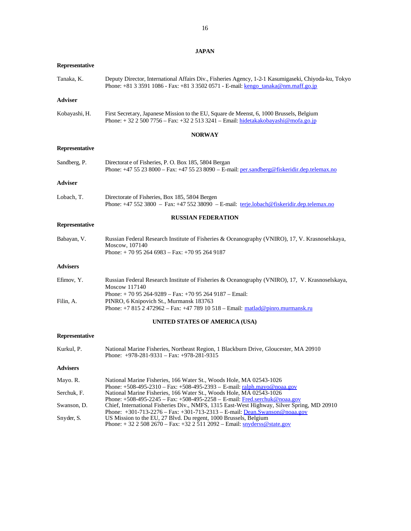**JAPAN**

16

| Representative  |                                                                                                                                                                                            |
|-----------------|--------------------------------------------------------------------------------------------------------------------------------------------------------------------------------------------|
| Tanaka, K.      | Deputy Director, International Affairs Div., Fisheries Agency, 1-2-1 Kasumigaseki, Chiyoda-ku, Tokyo<br>Phone: +81 3 3591 1086 - Fax: +81 3 3502 0571 - E-mail: kengo tanaka@nm.maff.go.jp |
| <b>Adviser</b>  |                                                                                                                                                                                            |
| Kobayashi, H.   | First Secretary, Japanese Mission to the EU, Square de Meenst, 6, 1000 Brussels, Belgium<br>Phone: $+3225007756 - Fax: +3225133241 - Email: hidetakakobayashi@mofa.gov.jp$                 |
|                 | <b>NORWAY</b>                                                                                                                                                                              |
| Representative  |                                                                                                                                                                                            |
| Sandberg, P.    | Directorate of Fisheries, P. O. Box 185, 5804 Bergan<br>Phone: $+475238000 - Fax: +4755238090 - E-mail: per.sandberg@fiskeridir.dep.telemax.no$                                            |
| Adviser         |                                                                                                                                                                                            |
| Lobach, T.      | Directorate of Fisheries, Box 185, 5804 Bergen<br>Phone: $+475523800 - Fax$ : $+4755238090 - E-mail$ : terje.lobach@fiskeridir.dep.telemax.no                                              |
|                 | <b>RUSSIAN FEDERATION</b>                                                                                                                                                                  |
| Representative  |                                                                                                                                                                                            |
| Babayan, V.     | Russian Federal Research Institute of Fisheries & Oceanography (VNIRO), 17, V. Krasnoselskaya,<br>Moscow, 107140<br>Phone: $+70952646983 - Fax$ : $+70952649187$                           |
| <b>Advisers</b> |                                                                                                                                                                                            |
| Efimov, Y.      | Russian Federal Research Institute of Fisheries & Oceanography (VNIRO), 17, V. Krasnoselskaya,<br>Moscow 117140                                                                            |
| Filin, A.       | Phone: $+ 7095264 - 9289 - Fax$ : $+ 70952649187 - Email$ :<br>PINRO, 6 Knipovich St., Murmansk 183763<br>Phone: +7 815 2 472962 - Fax: +47 789 10 518 - Email: matlad@pinro.murmansk.ru   |
|                 | UNITED STATES OF AMERICA (USA)                                                                                                                                                             |
| Representative  |                                                                                                                                                                                            |
| Kurkul, P.      | National Marine Fisheries, Northeast Region, 1 Blackburn Drive, Gloucester, MA 20910<br>Phone: $+978-281-9331 - Fax: +978-281-9315$                                                        |
| <b>Advisers</b> |                                                                                                                                                                                            |
| Mayo. R.        | National Marine Fisheries, 166 Water St., Woods Hole, MA 02543-1026                                                                                                                        |
| Serchuk, F.     | Phone: $+508-495-2310$ – Fax: $+508-495-2393$ – E-mail: ralph.mayo@noaa.gov<br>National Marine Fisheries, 166 Water St., Woods Hole, MA 02543-1026                                         |
| Swanson, D.     | Phone: $+508-495-2245$ – Fax: $+508-495-2258$ – E-mail: Fred.serchuk@noaa.gov<br>Chief, International Fisheries Div., NMFS, 1315 East-West Highway, Silver Spring, MD 20910                |
| Snyder, S.      | Phone: $+301-713-2276 - Fax: +301-713-2313 - E-mail: Dean.Swanson@noa.gov$<br>US Mission to the EU, 27 Blvd. Du regent, 1000 Brussels, Belgium                                             |

Phone: + 32 2 508 2670 – Fax: +32 2 511 2092 – Email: **snyderss@state.gov**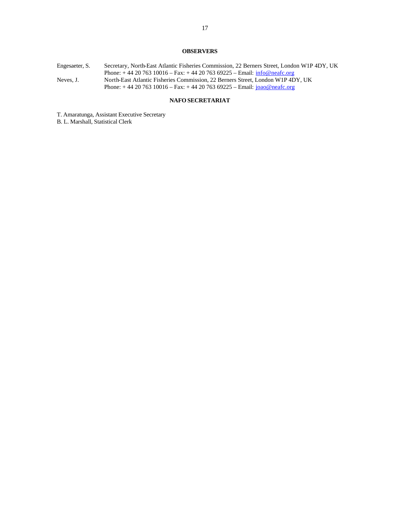# **OBSERVERS**

| Engesaeter, S. | Secretary, North-East Atlantic Fisheries Commission, 22 Berners Street, London W1P 4DY, UK |
|----------------|--------------------------------------------------------------------------------------------|
|                | Phone: $+442076310016 - Fax: +442076369225 - Email: info@neafc.org$                        |
| Neves, J.      | North-East Atlantic Fisheries Commission. 22 Berners Street. London W1P 4DY, UK            |
|                | Phone: $+442076310016 - Fax$ : $+442076369225 - Email$ : joao@neafc.org                    |
|                |                                                                                            |

# **NAFO SECRETARIAT**

T. Amaratunga, Assistant Executive Secretary

B. L. Marshall, Statistical Clerk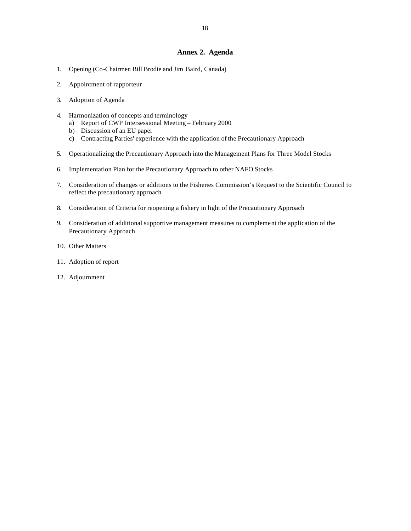## **Annex 2. Agenda**

- 1. Opening (Co-Chairmen Bill Brodie and Jim Baird, Canada)
- 2. Appointment of rapporteur
- 3. Adoption of Agenda
- 4. Harmonization of concepts and terminology
	- a) Report of CWP Intersessional Meeting February 2000
	- b) Discussion of an EU paper
	- c) Contracting Parties' experience with the application of the Precautionary Approach
- 5. Operationalizing the Precautionary Approach into the Management Plans for Three Model Stocks
- 6. Implementation Plan for the Precautionary Approach to other NAFO Stocks
- 7. Consideration of changes or additions to the Fisheries Commission's Request to the Scientific Council to reflect the precautionary approach
- 8. Consideration of Criteria for reopening a fishery in light of the Precautionary Approach
- 9. Consideration of additional supportive management measures to complement the application of the Precautionary Approach
- 10. Other Matters
- 11. Adoption of report
- 12. Adjournment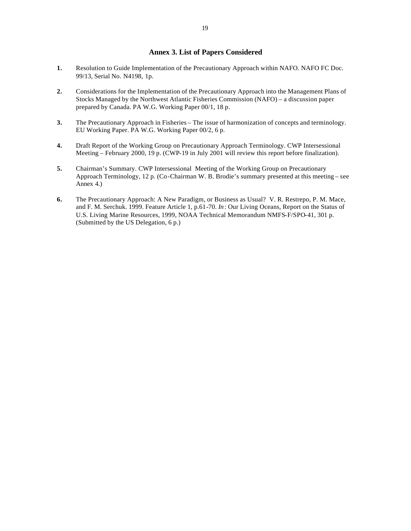# **Annex 3. List of Papers Considered**

- **1.** Resolution to Guide Implementation of the Precautionary Approach within NAFO. NAFO FC Doc. 99/13, Serial No. N4198, 1p.
- **2.** Considerations for the Implementation of the Precautionary Approach into the Management Plans of Stocks Managed by the Northwest Atlantic Fisheries Commission (NAFO) – a discussion paper prepared by Canada. PA W.G. Working Paper 00/1, 18 p.
- **3.** The Precautionary Approach in Fisheries The issue of harmonization of concepts and terminology. EU Working Paper. PA W.G. Working Paper 00/2, 6 p.
- **4.** Draft Report of the Working Group on Precautionary Approach Terminology. CWP Intersessional Meeting – February 2000, 19 p. (CWP-19 in July 2001 will review this report before finalization).
- **5.** Chairman's Summary. CWP Intersessional Meeting of the Working Group on Precautionary Approach Terminology, 12 p. (Co-Chairman W. B. Brodie's summary presented at this meeting – see Annex 4.)
- **6.** The Precautionary Approach: A New Paradigm, or Business as Usual? V. R. Restrepo, P. M. Mace, and F. M. Serchuk. 1999. Feature Article 1, p.61-70. *In*: Our Living Oceans, Report on the Status of U.S. Living Marine Resources, 1999, NOAA Technical Memorandum NMFS-F/SPO-41, 301 p. (Submitted by the US Delegation, 6 p.)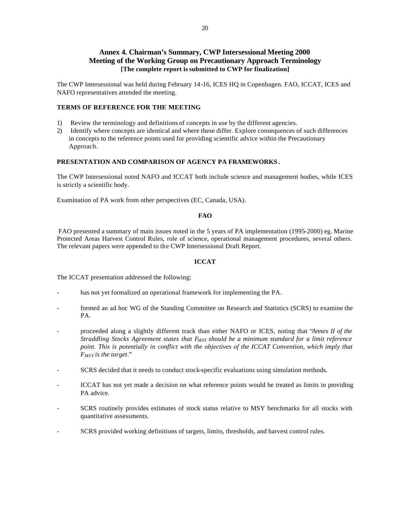# **Annex 4. Chairman's Summary, CWP Intersessional Meeting 2000 Meeting of the Working Group on Precautionary Approach Terminology [The complete report is submitted to CWP for finalization]**

The CWP Intersessional was held during February 14-16, ICES HQ in Copenhagen. FAO, ICCAT, ICES and NAFO representatives attended the meeting.

## **TERMS OF REFERENCE FOR THE MEETING**

- 1) Review the terminology and definitions of concepts in use by the different agencies.
- 2) Identify where concepts are identical and where these differ. Explore consequences of such differences in concepts to the reference points used for providing scientific advice within the Precautionary Approach.

## **PRESENTATION AND COMPARISON OF AGENCY PA FRAMEWORKS .**

The CWP Intersessional noted NAFO and ICCAT both include science and management bodies, while ICES is strictly a scientific body.

Examination of PA work from other perspectives (EC, Canada, USA).

## **FAO**

FAO presented a summary of main issues noted in the 5 years of PA implementation (1995-2000) eg. Marine Protected Areas Harvest Control Rules, role of science, operational management procedures, several others. The relevant papers were appended to the CWP Intersessional Draft Report.

## **ICCAT**

The ICCAT presentation addressed the following:

- has not yet formalized an operational framework for implementing the PA.
- formed an ad hoc WG of the Standing Committee on Research and Statistics (SCRS) to examine the PA.
- proceeded along a slightly different track than either NAFO or ICES, noting that "*Annex II of the Straddling Stocks Agreement states that FMSY should be a minimum standard for a limit reference point. This is potentially in conflict with the objectives of the ICCAT Convention, which imply that FMSY is the target*."
- SCRS decided that it needs to conduct stock-specific evaluations using simulation methods.
- ICCAT has not yet made a decision on what reference points would be treated as limits in providing PA advice.
- SCRS routinely provides estimates of stock status relative to MSY benchmarks for all stocks with quantitative assessments.
- SCRS provided working definitions of targets, limits, thresholds, and harvest control rules.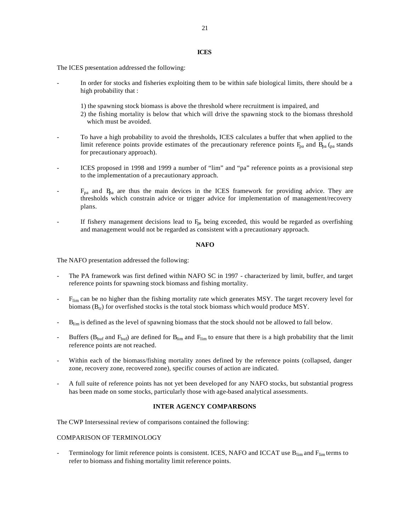#### **ICES**

The ICES presentation addressed the following:

- In order for stocks and fisheries exploiting them to be within safe biological limits, there should be a high probability that :
	- 1) the spawning stock biomass is above the threshold where recruitment is impaired, and
	- 2) the fishing mortality is below that which will drive the spawning stock to the biomass threshold which must be avoided.
- To have a high probability to avoid the thresholds, ICES calculates a buffer that when applied to the limit reference points provide estimates of the precautionary reference points  $F_{pa}$  and  $B_{pa}$  ( $pa$  stands for precautionary approach).
- ICES proposed in 1998 and 1999 a number of "lim" and "pa" reference points as a provisional step to the implementation of a precautionary approach.
- $F_{pa}$  and  $B_{pa}$  are thus the main devices in the ICES framework for providing advice. They are thresholds which constrain advice or trigger advice for implementation of management/recovery plans.
- If fishery management decisions lead to  $F_{pa}$  being exceeded, this would be regarded as overfishing and management would not be regarded as consistent with a precautionary approach.

#### **NAFO**

The NAFO presentation addressed the following:

- The PA framework was first defined within NAFO SC in 1997 characterized by limit, buffer, and target reference points for spawning stock biomass and fishing mortality.
- F<sub>lim</sub> can be no higher than the fishing mortality rate which generates MSY. The target recovery level for biomass  $(B_{tr})$  for overfished stocks is the total stock biomass which would produce MSY.
- B<sub>lim</sub> is defined as the level of spawning biomass that the stock should not be allowed to fall below.
- Buffers ( $B_{\text{buf}}$  and  $F_{\text{buf}}$ ) are defined for  $B_{\text{lim}}$  and  $F_{\text{lim}}$  to ensure that there is a high probability that the limit reference points are not reached.
- Within each of the biomass/fishing mortality zones defined by the reference points (collapsed, danger zone, recovery zone, recovered zone), specific courses of action are indicated.
- A full suite of reference points has not yet been developed for any NAFO stocks, but substantial progress has been made on some stocks, particularly those with age-based analytical assessments.

## **INTER AGENCY COMPARISONS**

The CWP Intersessinal review of comparisons contained the following:

#### COMPARISON OF TERMINOLOGY

Terminology for limit reference points is consistent. ICES, NAFO and ICCAT use  $B_{lim}$  and  $F_{lim}$  terms to refer to biomass and fishing mortality limit reference points.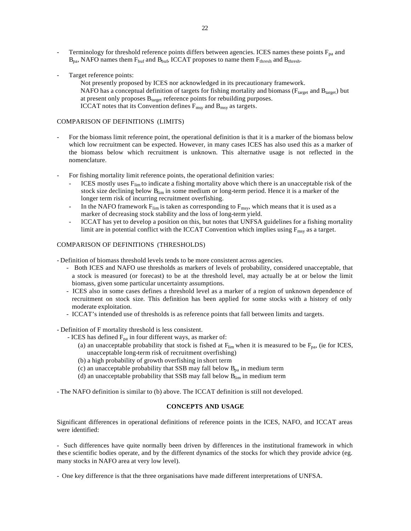- Terminology for threshold reference points differs between agencies. ICES names these points  $F_{pa}$  and  $B_{pa}$ , NAFO names them  $F_{buf}$  and  $B_{buf}$ , ICCAT proposes to name them  $F_{thresh}$  and  $B_{thresh}$ .
- Target reference points:

Not presently proposed by ICES nor acknowledged in its precautionary framework. NAFO has a conceptual definition of targets for fishing mortality and biomass ( $F_{target}$  and  $B_{target}$ ) but at present only proposes  $B_{target}$  reference points for rebuilding purposes. ICCAT notes that its Convention defines  $F_{\text{msy}}$  and  $B_{\text{msy}}$  as targets.

## COMPARISON OF DEFINITIONS (LIMITS)

- For the biomass limit reference point, the operational definition is that it is a marker of the biomass below which low recruitment can be expected. However, in many cases ICES has also used this as a marker of the biomass below which recruitment is unknown. This alternative usage is not reflected in the nomenclature.
- For fishing mortality limit reference points, the operational definition varies:
	- ICES mostly uses  $F_{\text{lim}}$  to indicate a fishing mortality above which there is an unacceptable risk of the stock size declining below B<sub>lim</sub> in some medium or long-term period. Hence it is a marker of the longer term risk of incurring recruitment overfishing.
	- In the NAFO framework  $F_{\text{lim}}$  is taken as corresponding to  $F_{\text{msy}}$ , which means that it is used as a marker of decreasing stock stability and the loss of long-term yield.
	- ICCAT has yet to develop a position on this, but notes that UNFSA guidelines for a fishing mortality limit are in potential conflict with the ICCAT Convention which implies using  $F_{\text{msy}}$  as a target.

## COMPARISON OF DEFINITIONS (THRESHOLDS)

- Definition of biomass threshold levels tends to be more consistent across agencies.

- Both ICES and NAFO use thresholds as markers of levels of probability, considered unacceptable, that a stock is measured (or forecast) to be at the threshold level, may actually be at or below the limit biomass, given some particular uncertainty assumptions.
- ICES also in some cases defines a threshold level as a marker of a region of unknown dependence of recruitment on stock size. This definition has been applied for some stocks with a history of only moderate exploitation.
- ICCAT's intended use of thresholds is as reference points that fall between limits and targets.

- Definition of F mortality threshold is less consistent.

- ICES has defined  $F_{pa}$  in four different ways, as marker of:
	- (a) an unacceptable probability that stock is fished at  $F_{\text{lim}}$  when it is measured to be  $F_{\text{pa}}$ , (ie for ICES, unacceptable long-term risk of recruitment overfishing)
	- (b) a high probability of growth overfishing in short term
	- (c) an unacceptable probability that SSB may fall below  $B_{pa}$  in medium term
	- (d) an unacceptable probability that SSB may fall below  $B_{\text{lim}}$  in medium term

- The NAFO definition is similar to (b) above. The ICCAT definition is still not developed.

#### **CONCEPTS AND USAGE**

Significant differences in operational definitions of reference points in the ICES, NAFO, and ICCAT areas were identified:

- Such differences have quite normally been driven by differences in the institutional framework in which thes e scientific bodies operate, and by the different dynamics of the stocks for which they provide advice (eg. many stocks in NAFO area at very low level).

- One key difference is that the three organisations have made different interpretations of UNFSA.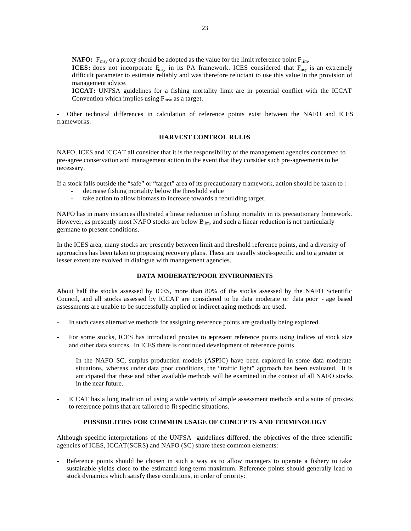**NAFO:**  $F_{\text{msy}}$  or a proxy should be adopted as the value for the limit reference point  $F_{\text{lim}}$ .

**ICES:** does not incorporate  $F_{\text{msy}}$  in its PA framework. ICES considered that  $F_{\text{msy}}$  is an extremely difficult parameter to estimate reliably and was therefore reluctant to use this value in the provision of management advice.

**ICCAT:** UNFSA guidelines for a fishing mortality limit are in potential conflict with the ICCAT Convention which implies using  $F_{\text{msy}}$  as a target.

- Other technical differences in calculation of reference points exist between the NAFO and ICES frameworks.

## **HARVEST CONTROL RULES**

NAFO, ICES and ICCAT all consider that it is the responsibility of the management agencies concerned to pre-agree conservation and management action in the event that they consider such pre-agreements to be necessary.

If a stock falls outside the "safe" or "target" area of its precautionary framework, action should be taken to :

- decrease fishing mortality below the threshold value
- take action to allow biomass to increase towards a rebuilding target.

NAFO has in many instances illustrated a linear reduction in fishing mortality in its precautionary framework. However, as presently most NAFO stocks are below B<sub>lim</sub>, and such a linear reduction is not particularly germane to present conditions.

In the ICES area, many stocks are presently between limit and threshold reference points, and a diversity of approaches has been taken to proposing recovery plans. These are usually stock-specific and to a greater or lesser extent are evolved in dialogue with management agencies.

## **DATA MODERATE/POOR ENVIRONMENTS**

About half the stocks assessed by ICES, more than 80% of the stocks assessed by the NAFO Scientific Council, and all stocks assessed by ICCAT are considered to be data moderate or data poor - age based assessments are unable to be successfully applied or indirect aging methods are used.

- In such cases alternative methods for assigning reference points are gradually being explored.
- For some stocks, ICES has introduced proxies to represent reference points using indices of stock size and other data sources. In ICES there is continued development of reference points.

In the NAFO SC, surplus production models (ASPIC) have been explored in some data moderate situations, whereas under data poor conditions, the "traffic light" approach has been evaluated. It is anticipated that these and other available methods will be examined in the context of all NAFO stocks in the near future.

- ICCAT has a long tradition of using a wide variety of simple assessment methods and a suite of proxies to reference points that are tailored to fit specific situations.

## **POSSIBILITIES FOR COMMON USAGE OF CONCEPTS AND TERMINOLOGY**

Although specific interpretations of the UNFSA guidelines differed, the objectives of the three scientific agencies of ICES, ICCAT(SCRS) and NAFO (SC) share these common elements:

Reference points should be chosen in such a way as to allow managers to operate a fishery to take sustainable yields close to the estimated long-term maximum. Reference points should generally lead to stock dynamics which satisfy these conditions, in order of priority: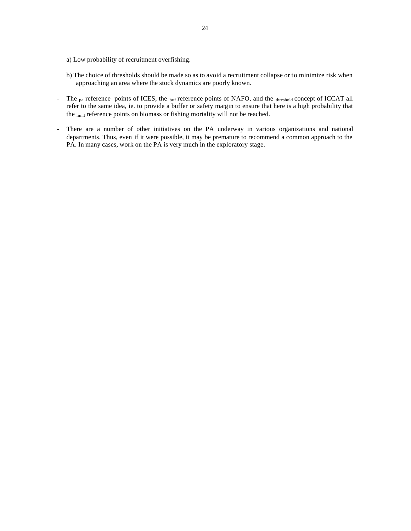- a) Low probability of recruitment overfishing.
- b) The choice of thresholds should be made so as to avoid a recruitment collapse or to minimize risk when approaching an area where the stock dynamics are poorly known.
- The  $_{pa}$  reference points of ICES, the  $_{buf}$  reference points of NAFO, and the  $_{threshold}$  concept of ICCAT all refer to the same idea, ie. to provide a buffer or safety margin to ensure that here is a high probability that the limit reference points on biomass or fishing mortality will not be reached.
- There are a number of other initiatives on the PA underway in various organizations and national departments. Thus, even if it were possible, it may be premature to recommend a common approach to the PA. In many cases, work on the PA is very much in the exploratory stage.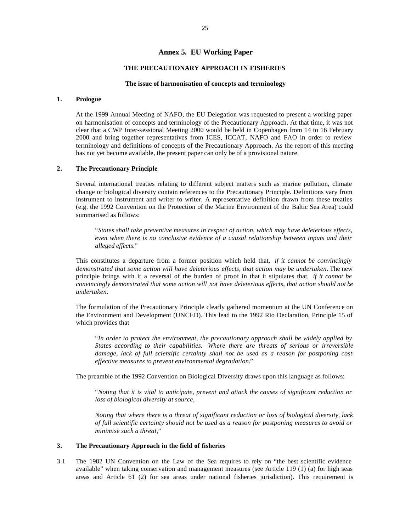## **Annex 5. EU Working Paper**

## **THE PRECAUTIONARY APPROACH IN FISHERIES**

#### **The issue of harmonisation of concepts and terminology**

## **1. Prologue**

At the 1999 Annual Meeting of NAFO, the EU Delegation was requested to present a working paper on harmonisation of concepts and terminology of the Precautionary Approach. At that time, it was not clear that a CWP Inter-sessional Meeting 2000 would be held in Copenhagen from 14 to 16 February 2000 and bring together representatives from ICES, ICCAT, NAFO and FAO in order to review terminology and definitions of concepts of the Precautionary Approach. As the report of this meeting has not yet become available, the present paper can only be of a provisional nature.

#### **2. The Precautionary Principle**

Several international treaties relating to different subject matters such as marine pollution, climate change or biological diversity contain references to the Precautionary Principle. Definitions vary from instrument to instrument and writer to writer. A representative definition drawn from these treaties (e.g. the 1992 Convention on the Protection of the Marine Environment of the Baltic Sea Area) could summarised as follows:

"*States shall take preventive measures in respect of action, which may have deleterious effects, even when there is no conclusive evidence of a causal relationship between inputs and their alleged effects.*"

This constitutes a departure from a former position which held that, *if it cannot be convincingly demonstrated that some action will have deleterious effects, that action may be undertaken*. The new principle brings with it a reversal of the burden of proof in that it stipulates that, *if it cannot be convincingly demonstrated that some action will not have deleterious effects, that action should not be undertaken*.

The formulation of the Precautionary Principle clearly gathered momentum at the UN Conference on the Environment and Development (UNCED). This lead to the 1992 Rio Declaration, Principle 15 of which provides that

"*In order to protect the environment, the precautionary approach shall be widely applied by States according to their capabilities. Where there are threats of serious or irreversible damage, lack of full scientific certainty shall not be used as a reason for postponing costeffective measures to prevent environmental degradation.*"

The preamble of the 1992 Convention on Biological Diversity draws upon this language as follows:

"*Noting that it is vital to anticipate, prevent and attack the causes of significant reduction or loss of biological diversity at source,*

*Noting that where there is a threat of significant reduction or loss of biological diversity, lack of full scientific certainty should not be used as a reason for postponing measures to avoid or minimise such a threat*,"

## **3. The Precautionary Approach in the field of fisheries**

3.1 The 1982 UN Convention on the Law of the Sea requires to rely on "the best scientific evidence available" when taking conservation and management measures (see Article 119 (1) (a) for high seas areas and Article 61 (2) for sea areas under national fisheries jurisdiction). This requirement is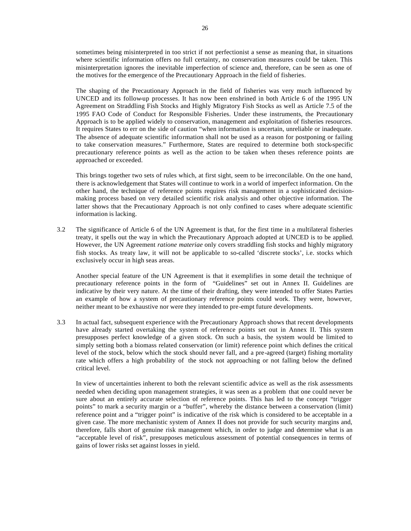sometimes being misinterpreted in too strict if not perfectionist a sense as meaning that, in situations where scientific information offers no full certainty, no conservation measures could be taken. This misinterpretation ignores the inevitable imperfection of science and, therefore, can be seen as one of the motives for the emergence of the Precautionary Approach in the field of fisheries.

The shaping of the Precautionary Approach in the field of fisheries was very much influenced by UNCED and its follow-up processes. It has now been enshrined in both Article 6 of the 1995 UN Agreement on Straddling Fish Stocks and Highly Migratory Fish Stocks as well as Article 7.5 of the 1995 FAO Code of Conduct for Responsible Fisheries. Under these instruments, the Precautionary Approach is to be applied widely to conservation, management and exploitation of fisheries resources. It requires States to err on the side of caution "when information is uncertain, unreliable or inadequate. The absence of adequate scientific information shall not be used as a reason for postponing or failing to take conservation measures." Furthermore, States are required to determine both stock-specific precautionary reference points as well as the action to be taken when theses reference points are approached or exceeded.

This brings together two sets of rules which, at first sight, seem to be irreconcilable. On the one hand, there is acknowledgement that States will continue to work in a world of imperfect information. On the other hand, the technique of reference points requires risk management in a sophisticated decisionmaking process based on very detailed scientific risk analysis and other objective information. The latter shows that the Precautionary Approach is not only confined to cases where adequate scientific information is lacking.

3.2 The significance of Article 6 of the UN Agreement is that, for the first time in a multilateral fisheries treaty, it spells out the way in which the Precautionary Approach adopted at UNCED is to be applied. However, the UN Agreement *ratione materiae* only covers straddling fish stocks and highly migratory fish stocks. As treaty law, it will not be applicable to so-called 'discrete stocks', i.e. stocks which exclusively occur in high seas areas.

Another special feature of the UN Agreement is that it exemplifies in some detail the technique of precautionary reference points in the form of "Guidelines" set out in Annex II. Guidelines are indicative by their very nature. At the time of their drafting, they were intended to offer States Parties an example of how a system of precautionary reference points could work. They were, however, neither meant to be exhaustive nor were they intended to pre-empt future developments.

3.3 In actual fact, subsequent experience with the Precautionary Approach shows that recent developments have already started overtaking the system of reference points set out in Annex II. This system presupposes perfect knowledge of a given stock. On such a basis, the system would be limited to simply setting both a biomass related conservation (or limit) reference point which defines the critical level of the stock, below which the stock should never fall, and a pre-agreed (target) fishing mortality rate which offers a high probability of the stock not approaching or not falling below the defined critical level.

In view of uncertainties inherent to both the relevant scientific advice as well as the risk assessments needed when deciding upon management strategies, it was seen as a problem that one could never be sure about an entirely accurate selection of reference points. This has led to the concept "trigger points" to mark a security margin or a "buffer", whereby the distance between a conservation (limit) reference point and a "trigger point" is indicative of the risk which is considered to be acceptable in a given case. The more mechanistic system of Annex II does not provide for such security margins and, therefore, falls short of genuine risk management which, in order to judge and determine what is an "acceptable level of risk", presupposes meticulous assessment of potential consequences in terms of gains of lower risks set against losses in yield.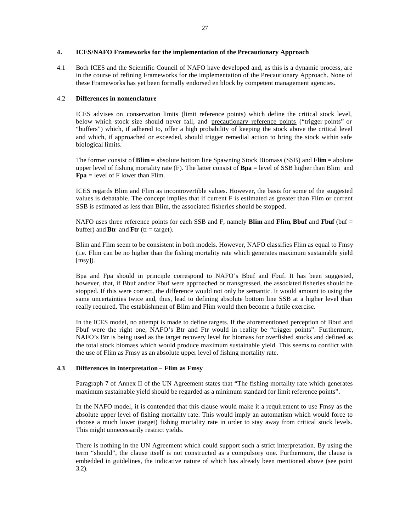## **4. ICES/NAFO Frameworks for the implementation of the Precautionary Approach**

4.1 Both ICES and the Scientific Council of NAFO have developed and, as this is a dynamic process, are in the course of refining Frameworks for the implementation of the Precautionary Approach. None of these Frameworks has yet been formally endorsed en block by competent management agencies.

## 4.2 **Differences in nomenclature**

ICES advises on conservation limits (limit reference points) which define the critical stock level, below which stock size should never fall, and precautionary reference points ("trigger points" or "buffers") which, if adhered to, offer a high probability of keeping the stock above the critical level and which, if approached or exceeded, should trigger remedial action to bring the stock within safe biological limits.

The former consist of **Blim** = absolute bottom line Spawning Stock Biomass (SSB) and **Flim** = abolute upper level of fishing mortality rate (F). The latter consist of **Bpa** = level of SSB higher than Blim and **Fpa** = level of F lower than Flim.

ICES regards Blim and Flim as incontrovertible values. However, the basis for some of the suggested values is debatable. The concept implies that if current F is estimated as greater than Flim or current SSB is estimated as less than Blim, the associated fisheries should be stopped.

NAFO uses three reference points for each SSB and F, namely **Blim** and **Flim**, **Bbuf** and **Fbuf** (buf = buffer) and **Btr** and **Ftr** (tr = target).

Blim and Flim seem to be consistent in both models. However, NAFO classifies Flim as equal to Fmsy (i.e. Flim can be no higher than the fishing mortality rate which generates maximum sustainable yield  $[$ msy $]$ ).

Bpa and Fpa should in principle correspond to NAFO's Bbuf and Fbuf. It has been suggested, however, that, if Bbuf and/or Fbuf were approached or transgressed, the associated fisheries should be stopped. If this were correct, the difference would not only be semantic. It would amount to using the same uncertainties twice and, thus, lead to defining absolute bottom line SSB at a higher level than really required. The establishment of Blim and Flim would then become a futile exercise.

In the ICES model, no attempt is made to define targets. If the aforementioned perception of Bbuf and Fbuf were the right one, NAFO's Btr and Ftr would in reality be "trigger points". Furthermore, NAFO's Btr is being used as the target recovery level for biomass for overfished stocks and defined as the total stock biomass which would produce maximum sustainable yield. This seems to conflict with the use of Flim as Fmsy as an absolute upper level of fishing mortality rate.

## **4.3 Differences in interpretation – Flim as Fmsy**

Paragraph 7 of Annex II of the UN Agreement states that "The fishing mortality rate which generates maximum sustainable yield should be regarded as a minimum standard for limit reference points".

In the NAFO model, it is contended that this clause would make it a requirement to use Fmsy as the absolute upper level of fishing mortality rate. This would imply an automatism which would force to choose a much lower (target) fishing mortality rate in order to stay away from critical stock levels. This might unnecessarily restrict yields.

There is nothing in the UN Agreement which could support such a strict interpretation. By using the term "should", the clause itself is not constructed as a compulsory one. Furthermore, the clause is embedded in guidelines, the indicative nature of which has already been mentioned above (see point 3.2).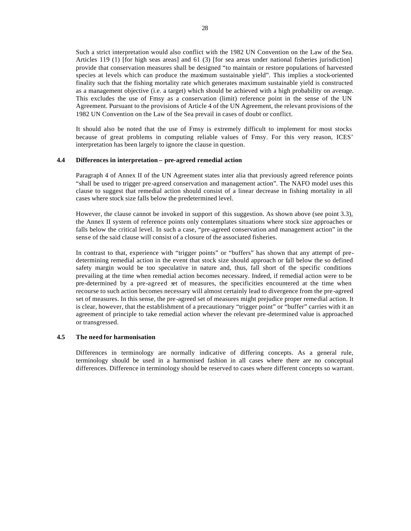Such a strict interpretation would also conflict with the 1982 UN Convention on the Law of the Sea. Articles 119 (1) [for high seas areas] and 61 (3) [for sea areas under national fisheries jurisdiction] provide that conservation measures shall be designed "to maintain or restore populations of harvested species at levels which can produce the maximum sustainable yield". This implies a stock-oriented finality such that the fishing mortality rate which generates maximum sustainable yield is constructed as a management objective (i.e. a target) which should be achieved with a high probability on average. This excludes the use of Fmsy as a conservation (limit) reference point in the sense of the UN Agreement. Pursuant to the provisions of Article 4 of the UN Agreement, the relevant provisions of the 1982 UN Convention on the Law of the Sea prevail in cases of doubt or conflict.

It should also be noted that the use of Fmsy is extremely difficult to implement for most stocks because of great problems in computing reliable values of Fmsy. For this very reason, ICES' interpretation has been largely to ignore the clause in question.

#### **4.4 Differences in interpretation – pre-agreed remedial action**

Paragraph 4 of Annex II of the UN Agreement states inter alia that previously agreed reference points "shall be used to trigger pre-agreed conservation and management action". The NAFO model uses this clause to suggest that remedial action should consist of a linear decrease in fishing mortality in all cases where stock size falls below the predetermined level.

However, the clause cannot be invoked in support of this suggestion. As shown above (see point 3.3), the Annex II system of reference points only contemplates situations where stock size approaches or falls below the critical level. In such a case, "pre-agreed conservation and management action" in the sense of the said clause will consist of a closure of the associated fisheries.

In contrast to that, experience with "trigger points" or "buffers" has shown that any attempt of predetermining remedial action in the event that stock size should approach or fall below the so defined safety margin would be too speculative in nature and, thus, fall short of the specific conditions prevailing at the time when remedial action becomes necessary. Indeed, if remedial action were to be pre-determined by a pre-agreed set of measures, the specificities encountered at the time when recourse to such action becomes necessary will almost certainly lead to divergence from the pre-agreed set of measures. In this sense, the pre-agreed set of measures might prejudice proper remedial action. It is clear, however, that the establishment of a precautionary "trigger point" or "buffer" carries with it an agreement of principle to take remedial action whever the relevant pre-determined value is approached or transgressed.

## **4.5 The need for harmonisation**

Differences in terminology are normally indicative of differing concepts. As a general rule, terminology should be used in a harmonised fashion in all cases where there are no conceptual differences. Difference in terminology should be reserved to cases where different concepts so warrant.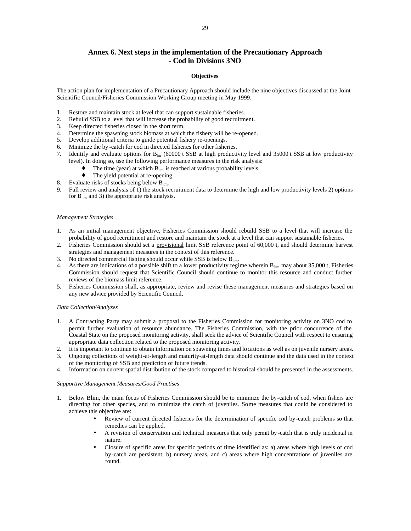# **Annex 6. Next steps in the implementation of the Precautionary Approach - Cod in Divisions 3NO**

#### **Objectives**

The action plan for implementation of a Precautionary Approach should include the nine objectives discussed at the Joint Scientific Council/Fisheries Commission Working Group meeting in May 1999:

- 1. Restore and maintain stock at level that can support sustainable fisheries.
- 2. Rebuild SSB to a level that will increase the probability of good recruitment.
- 3. Keep directed fisheries closed in the short term.
- 4. Determine the spawning stock biomass at which the fishery will be re-opened.
- 5. Develop additional criteria to guide potential fishery re-openings.
- 6. Minimize the by -catch for cod in directed fisheries for other fisheries.
- 7. Identify and evaluate options for  $B_{lim}$  (60000 t SSB at high productivity level and 35000 t SSB at low productivity level). In doing so, use the following performance measures in the risk analysis:
	- $\blacklozenge$  The time (year) at which  $B_{\text{lim}}$  is reached at various probability levels
	- The yield potential at re-opening.
- 8. Evaluate risks of stocks being below  $B_{\text{lim}}$ .
- 9. Full review and analysis of 1) the stock recruitment data to determine the high and low productivity levels 2) options for  $B_{\text{lim}}$  and 3) the appropriate risk analysis.

#### *Management Strategies*

- 1. As an initial management objective, Fisheries Commission should rebuild SSB to a level that will increase the probability of good recruitment and restore and maintain the stock at a level that can support sustainable fisheries.
- 2. Fisheries Commission should set a provisional limit SSB reference point of 60,000 t, and should determine harvest strategies and management measures in the context of this reference.
- 3. No directed commercial fishing should occur while SSB is below  $B_{\text{lim}}$ .
- As there are indications of a possible shift to a lower productivity regime wherein  $B_{lim}$  may about 35,000 t, Fisheries Commission should request that Scientific Council should continue to monitor this resource and conduct further reviews of the biomass limit reference.
- 5. Fisheries Commission shall, as appropriate, review and revise these management measures and strategies based on any new advice provided by Scientific Council.

#### *Data Collection/Analyses*

- 1. A Contracting Party may submit a proposal to the Fisheries Commission for monitoring activity on 3NO cod to permit further evaluation of resource abundance. The Fisheries Commission, with the prior concurrence of the Coastal State on the proposed monitoring activity, shall seek the advice of Scientific Council with respect to ensuring appropriate data collection related to the proposed monitoring activity.
- 2. It is important to continue to obtain information on spawning times and locations as well as on juvenile nursery areas.
- 3. Ongoing collections of weight-at-length and maturity-at-length data should continue and the data used in the context of the monitoring of SSB and prediction of future trends.
- 4. Information on current spatial distribution of the stock compared to historical should be presented in the assessments.

#### *Supportive Management Measures/Good Practises*

- 1. Below Blim, the main focus of Fisheries Commission should be to minimize the by-catch of cod, when fishers are directing for other species, and to minimize the catch of juveniles. Some measures that could be considered to achieve this objective are:
	- Review of current directed fisheries for the determination of specific cod by-catch problems so that remedies can be applied.
	- A revision of conservation and technical measures that only permit by -catch that is truly incidental in nature.
	- Closure of specific areas for specific periods of time identified as: a) areas where high levels of cod by-catch are persistent, b) nursery areas, and c) areas where high concentrations of juveniles are found.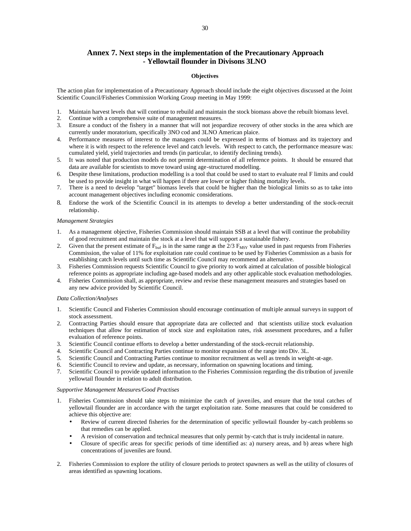# **Annex 7. Next steps in the implementation of the Precautionary Approach - Yellowtail flounder in Divisons 3LNO**

#### **Objectives**

The action plan for implementation of a Precautionary Approach should include the eight objectives discussed at the Joint Scientific Council/Fisheries Commission Working Group meeting in May 1999:

- 1. Maintain harvest levels that will continue to rebuild and maintain the stock biomass above the rebuilt biomass level.
- 2. Continue with a comprehensive suite of management measures.
- 3. Ensure a conduct of the fishery in a manner that will not jeopardize recovery of other stocks in the area which are currently under moratorium, specifically 3NO cod and 3LNO American plaice.
- 4. Performance measures of interest to the managers could be expressed in terms of biomass and its trajectory and where it is with respect to the reference level and catch levels. With respect to catch, the performance measure was: cumulated yield, yield trajectories and trends (in particular, to identify declining trends).
- 5. It was noted that production models do not permit determination of all reference points. It should be ensured that data are available for scientists to move toward using age-structured modelling.
- 6. Despite these limitations, production modelling is a tool that could be used to start to evaluate real F limits and could be used to provide insight in what will happen if there are lower or higher fishing mortality levels.
- 7. There is a need to develop "target" biomass levels that could be higher than the biological limits so as to take into account management objectives including economic considerations.
- 8. Endorse the work of the Scientific Council in its attempts to develop a better understanding of the stock-recruit relationship.

#### *Management Strategies*

- 1. As a management objective, Fisheries Commission should maintain SSB at a level that will continue the probability of good recruitment and maintain the stock at a level that will support a sustainable fishery.
- Given that the present estimate of  $F_{\text{buf}}$  is in the same range as the 2/3  $F_{\text{MSY}}$  value used in past requests from Fisheries Commission, the value of 11% for exploitation rate could continue to be used by Fisheries Commission as a basis for establishing catch levels until such time as Scientific Council may recommend an alternative.
- 3. Fisheries Commission requests Scientific Council to give priority to work aimed at calculation of possible biological reference points as appropriate including age-based models and any other applicable stock evaluation methodologies.
- 4. Fisheries Commission shall, as appropriate, review and revise these management measures and strategies based on any new advice provided by Scientific Council.

#### *Data Collection/Analyses*

- 1. Scientific Council and Fisheries Commission should encourage continuation of multiple annual surveys in support of stock assessment.
- 2. Contracting Parties should ensure that appropriate data are collected and that scientists utilize stock evaluation techniques that allow for estimation of stock size and exploitation rates, risk assessment procedures, and a fuller evaluation of reference points.
- 3. Scientific Council continue efforts to develop a better understanding of the stock-recruit relationship.
- 4. Scientific Council and Contracting Parties continue to monitor expansion of the range into Div. 3L.
- 5. Scientific Council and Contracting Parties continue to monitor recruitment as well as trends in weight-at-age.
- 6. Scientific Council to review and update, as necessary, information on spawning locations and timing.
- 7. Scientific Council to provide updated information to the Fisheries Commission regarding the distribution of juvenile yellowtail flounder in relation to adult distribution.

#### *Supportive Management Measures/Good Practises*

- 1. Fisheries Commission should take steps to minimize the catch of juveniles, and ensure that the total catches of yellowtail flounder are in accordance with the target exploitation rate. Some measures that could be considered to achieve this objective are:
	- Review of current directed fisheries for the determination of specific yellowtail flounder by-catch problems so that remedies can be applied.
	- A revision of conservation and technical measures that only permit by-catch that is truly incidental in nature.
	- Closure of specific areas for specific periods of time identified as: a) nursery areas, and b) areas where high concentrations of juveniles are found.
- 2. Fisheries Commission to explore the utility of closure periods to protect spawners as well as the utility of closures of areas identified as spawning locations.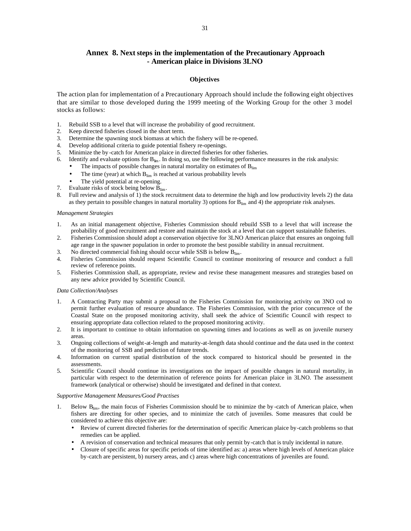# **Annex 8. Next steps in the implementation of the Precautionary Approach - American plaice in Divisions 3LNO**

#### **Objectives**

The action plan for implementation of a Precautionary Approach should include the following eight objectives that are similar to those developed during the 1999 meeting of the Working Group for the other 3 model stocks as follows:

- 1. Rebuild SSB to a level that will increase the probability of good recruitment.
- 2. Keep directed fisheries closed in the short term.
- 3. Determine the spawning stock biomass at which the fishery will be re-opened.
- 4. Develop additional criteria to guide potential fishery re-openings.
- 5. Minimize the by -catch for American plaice in directed fisheries for other fisheries.
- 6. Identify and evaluate options for  $B_{\text{lim}}$ . In doing so, use the following performance measures in the risk analysis:
	- The impacts of possible changes in natural mortality on estimates of  $B_{lim}$
	- The time (year) at which  $B_{lim}$  is reached at various probability levels
	- The yield potential at re-opening.
- 7. Evaluate risks of stock being below Blim.
- 8. Full review and analysis of 1) the stock recruitment data to determine the high and low productivity levels 2) the data as they pertain to possible changes in natural mortality 3) options for  $B_{lim}$  and 4) the appropriate risk analyses.

#### *Management Strategies*

- 1. As an initial management objective, Fisheries Commission should rebuild SSB to a level that will increase the probability of good recruitment and restore and maintain the stock at a level that can support sustainable fisheries.
- 2. Fisheries Commission should adopt a conservation objective for 3LNO American plaice that ensures an ongoing full age range in the spawner population in order to promote the best possible stability in annual recruitment.
- 3. No directed commercial fishing should occur while SSB is below  $B_{\text{lim}}$ .
- 4. Fisheries Commission should request Scientific Council to continue monitoring of resource and conduct a full review of reference points.
- 5. Fisheries Commission shall, as appropriate, review and revise these management measures and strategies based on any new advice provided by Scientific Council.

#### *Data Collection/Analyses*

- 1. A Contracting Party may submit a proposal to the Fisheries Commission for monitoring activity on 3NO cod to permit further evaluation of resource abundance. The Fisheries Commission, with the prior concurrence of the Coastal State on the proposed monitoring activity, shall seek the advice of Scientific Council with respect to ensuring appropriate data collection related to the proposed monitoring activity.
- 2. It is important to continue to obtain information on spawning times and locations as well as on juvenile nursery areas.
- 3. Ongoing collections of weight-at-length and maturity-at-length data should continue and the data used in the context of the monitoring of SSB and prediction of future trends.
- 4. Information on current spatial distribution of the stock compared to historical should be presented in the assessments.
- 5. Scientific Council should continue its investigations on the impact of possible changes in natural mortality, in particular with respect to the determination of reference points for American plaice in 3LNO. The assessment framework (analytical or otherwise) should be investigated and defined in that context.

#### *Supportive Management Measures/Good Practises*

- 1. Below  $B_{\text{lim}}$ , the main focus of Fisheries Commission should be to minimize the by -catch of American plaice, when fishers are directing for other species, and to minimize the catch of juveniles. Some measures that could be considered to achieve this objective are:
	- Review of current directed fisheries for the determination of specific American plaice by-catch problems so that remedies can be applied.
	- A revision of conservation and technical measures that only permit by-catch that is truly incidental in nature.
	- Closure of specific areas for specific periods of time identified as: a) areas where high levels of American plaice by-catch are persistent, b) nursery areas, and c) areas where high concentrations of juveniles are found.